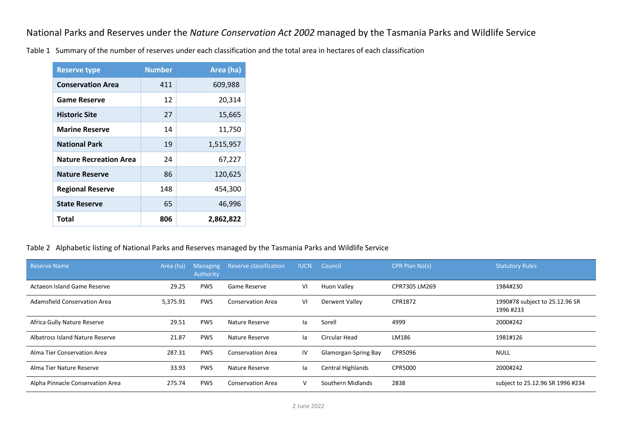National Parks and Reserves under the *Nature Conservation Act 2002* managed by the Tasmania Parks and Wildlife Service

Table 1 Summary of the number of reserves under each classification and the total area in hectares of each classification

| <b>Reserve type</b>           | <b>Number</b> | Area (ha) |
|-------------------------------|---------------|-----------|
| <b>Conservation Area</b>      | 411           | 609,988   |
| <b>Game Reserve</b>           | 12            | 20,314    |
| <b>Historic Site</b>          | 27            | 15,665    |
| <b>Marine Reserve</b>         | 14            | 11,750    |
| <b>National Park</b>          | 19            | 1,515,957 |
| <b>Nature Recreation Area</b> | 24            | 67,227    |
| <b>Nature Reserve</b>         | 86            | 120,625   |
| <b>Regional Reserve</b>       | 148           | 454,300   |
| <b>State Reserve</b>          | 65            | 46,996    |
| Total                         | 806           | 2,862,822 |

## Table 2 Alphabetic listing of National Parks and Reserves managed by the Tasmania Parks and Wildlife Service

| <b>Reserve Name</b>                 | Area (ha) | <b>Managing</b><br>Authority | Reserve classification   | <b>IUCN</b>  | Council                     | <b>CPR Plan No(s)</b> | <b>Statutory Rules</b>                      |
|-------------------------------------|-----------|------------------------------|--------------------------|--------------|-----------------------------|-----------------------|---------------------------------------------|
| Actaeon Island Game Reserve         | 29.25     | <b>PWS</b>                   | Game Reserve             | VI           | Huon Valley                 | CPR7305 LM269         | 1984#230                                    |
| <b>Adamsfield Conservation Area</b> | 5,375.91  | <b>PWS</b>                   | <b>Conservation Area</b> | VI           | Derwent Valley              | CPR1872               | 1990#78 subject to 25.12.96 SR<br>1996 #233 |
| Africa Gully Nature Reserve         | 29.51     | <b>PWS</b>                   | Nature Reserve           | la.          | Sorell                      | 4999                  | 2000#242                                    |
| Albatross Island Nature Reserve     | 21.87     | <b>PWS</b>                   | Nature Reserve           | la.          | Circular Head               | LM186                 | 1981#126                                    |
| Alma Tier Conservation Area         | 287.31    | <b>PWS</b>                   | <b>Conservation Area</b> | IV           | <b>Glamorgan-Spring Bay</b> | CPR5096               | <b>NULL</b>                                 |
| Alma Tier Nature Reserve            | 33.93     | <b>PWS</b>                   | Nature Reserve           | la           | <b>Central Highlands</b>    | <b>CPR5000</b>        | 2000#242                                    |
| Alpha Pinnacle Conservation Area    | 275.74    | <b>PWS</b>                   | <b>Conservation Area</b> | $\mathsf{V}$ | Southern Midlands           | 2838                  | subject to 25.12.96 SR 1996 #234            |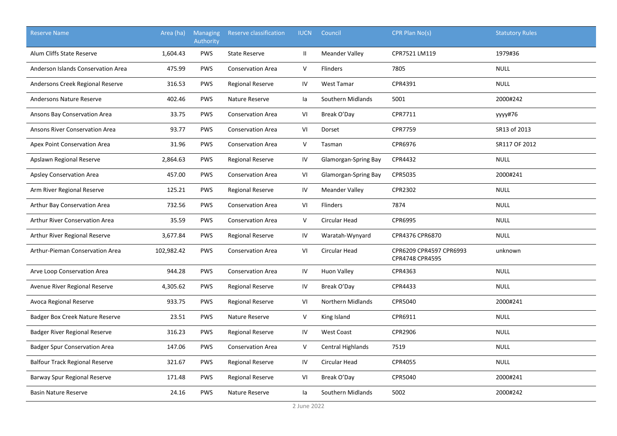| <b>Reserve Name</b>                   | Area (ha)  | <b>Managing</b><br>Authority | Reserve classification   | <b>IUCN</b>   | Council               | CPR Plan No(s)                             | <b>Statutory Rules</b> |
|---------------------------------------|------------|------------------------------|--------------------------|---------------|-----------------------|--------------------------------------------|------------------------|
| Alum Cliffs State Reserve             | 1,604.43   | <b>PWS</b>                   | <b>State Reserve</b>     | $\mathbf{II}$ | <b>Meander Valley</b> | CPR7521 LM119                              | 1979#36                |
| Anderson Islands Conservation Area    | 475.99     | <b>PWS</b>                   | <b>Conservation Area</b> | V             | <b>Flinders</b>       | 7805                                       | <b>NULL</b>            |
| Andersons Creek Regional Reserve      | 316.53     | PWS                          | <b>Regional Reserve</b>  | IV            | <b>West Tamar</b>     | CPR4391                                    | <b>NULL</b>            |
| Andersons Nature Reserve              | 402.46     | PWS                          | Nature Reserve           | la            | Southern Midlands     | 5001                                       | 2000#242               |
| Ansons Bay Conservation Area          | 33.75      | <b>PWS</b>                   | <b>Conservation Area</b> | VI            | Break O'Day           | CPR7711                                    | yyyy#76                |
| Ansons River Conservation Area        | 93.77      | PWS                          | <b>Conservation Area</b> | VI            | Dorset                | <b>CPR7759</b>                             | SR13 of 2013           |
| Apex Point Conservation Area          | 31.96      | <b>PWS</b>                   | <b>Conservation Area</b> | V             | Tasman                | CPR6976                                    | SR117 OF 2012          |
| Apslawn Regional Reserve              | 2,864.63   | <b>PWS</b>                   | <b>Regional Reserve</b>  | IV            | Glamorgan-Spring Bay  | CPR4432                                    | <b>NULL</b>            |
| <b>Apsley Conservation Area</b>       | 457.00     | <b>PWS</b>                   | <b>Conservation Area</b> | VI            | Glamorgan-Spring Bay  | CPR5035                                    | 2000#241               |
| Arm River Regional Reserve            | 125.21     | <b>PWS</b>                   | <b>Regional Reserve</b>  | IV            | <b>Meander Valley</b> | CPR2302                                    | <b>NULL</b>            |
| Arthur Bay Conservation Area          | 732.56     | <b>PWS</b>                   | <b>Conservation Area</b> | VI            | Flinders              | 7874                                       | <b>NULL</b>            |
| <b>Arthur River Conservation Area</b> | 35.59      | PWS                          | <b>Conservation Area</b> | $\vee$        | Circular Head         | CPR6995                                    | <b>NULL</b>            |
| Arthur River Regional Reserve         | 3,677.84   | <b>PWS</b>                   | Regional Reserve         | IV            | Waratah-Wynyard       | CPR4376 CPR6870                            | <b>NULL</b>            |
| Arthur-Pieman Conservation Area       | 102,982.42 | <b>PWS</b>                   | <b>Conservation Area</b> | VI            | Circular Head         | CPR6209 CPR4597 CPR6993<br>CPR4748 CPR4595 | unknown                |
| Arve Loop Conservation Area           | 944.28     | <b>PWS</b>                   | <b>Conservation Area</b> | IV            | Huon Valley           | CPR4363                                    | <b>NULL</b>            |
| Avenue River Regional Reserve         | 4,305.62   | <b>PWS</b>                   | <b>Regional Reserve</b>  | IV            | Break O'Day           | CPR4433                                    | <b>NULL</b>            |
| Avoca Regional Reserve                | 933.75     | PWS                          | <b>Regional Reserve</b>  | VI            | Northern Midlands     | CPR5040                                    | 2000#241               |
| Badger Box Creek Nature Reserve       | 23.51      | PWS                          | Nature Reserve           | V             | King Island           | CPR6911                                    | <b>NULL</b>            |
| Badger River Regional Reserve         | 316.23     | <b>PWS</b>                   | <b>Regional Reserve</b>  | IV            | <b>West Coast</b>     | CPR2906                                    | <b>NULL</b>            |
| <b>Badger Spur Conservation Area</b>  | 147.06     | PWS                          | <b>Conservation Area</b> | V             | Central Highlands     | 7519                                       | <b>NULL</b>            |
| <b>Balfour Track Regional Reserve</b> | 321.67     | PWS                          | <b>Regional Reserve</b>  | IV            | Circular Head         | CPR4055                                    | <b>NULL</b>            |
| Barway Spur Regional Reserve          | 171.48     | <b>PWS</b>                   | <b>Regional Reserve</b>  | VI            | Break O'Day           | CPR5040                                    | 2000#241               |
| <b>Basin Nature Reserve</b>           | 24.16      | <b>PWS</b>                   | Nature Reserve           | la            | Southern Midlands     | 5002                                       | 2000#242               |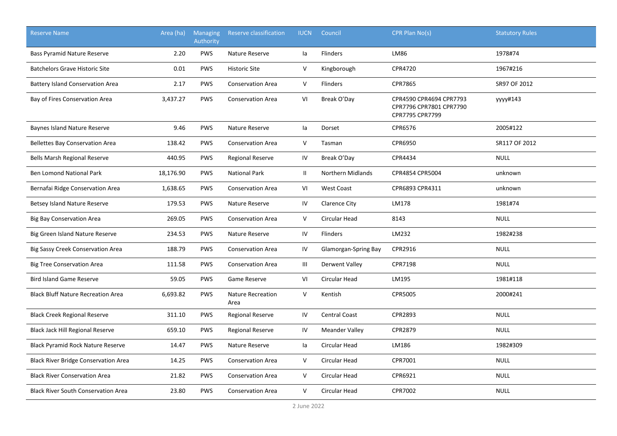| <b>Reserve Name</b>                         | Area (ha) | <b>Managing</b><br>Authority | Reserve classification           | <b>IUCN</b>                        | Council                  | CPR Plan No(s)                                                        | <b>Statutory Rules</b> |
|---------------------------------------------|-----------|------------------------------|----------------------------------|------------------------------------|--------------------------|-----------------------------------------------------------------------|------------------------|
| Bass Pyramid Nature Reserve                 | 2.20      | <b>PWS</b>                   | Nature Reserve                   | la                                 | Flinders                 | LM86                                                                  | 1978#74                |
| <b>Batchelors Grave Historic Site</b>       | 0.01      | <b>PWS</b>                   | <b>Historic Site</b>             | $\mathsf V$                        | Kingborough              | CPR4720                                                               | 1967#216               |
| <b>Battery Island Conservation Area</b>     | 2.17      | PWS                          | <b>Conservation Area</b>         | V                                  | Flinders                 | CPR7865                                                               | SR97 OF 2012           |
| Bay of Fires Conservation Area              | 3,437.27  | PWS                          | <b>Conservation Area</b>         | VI                                 | Break O'Day              | CPR4590 CPR4694 CPR7793<br>CPR7796 CPR7801 CPR7790<br>CPR7795 CPR7799 | уууу#143               |
| Baynes Island Nature Reserve                | 9.46      | <b>PWS</b>                   | Nature Reserve                   | la                                 | Dorset                   | CPR6576                                                               | 2005#122               |
| <b>Bellettes Bay Conservation Area</b>      | 138.42    | <b>PWS</b>                   | <b>Conservation Area</b>         | V                                  | Tasman                   | CPR6950                                                               | SR117 OF 2012          |
| Bells Marsh Regional Reserve                | 440.95    | <b>PWS</b>                   | Regional Reserve                 | IV                                 | Break O'Day              | CPR4434                                                               | <b>NULL</b>            |
| <b>Ben Lomond National Park</b>             | 18,176.90 | <b>PWS</b>                   | <b>National Park</b>             | $\mathbf{II}$                      | <b>Northern Midlands</b> | CPR4854 CPR5004                                                       | unknown                |
| Bernafai Ridge Conservation Area            | 1,638.65  | <b>PWS</b>                   | <b>Conservation Area</b>         | VI                                 | <b>West Coast</b>        | CPR6893 CPR4311                                                       | unknown                |
| Betsey Island Nature Reserve                | 179.53    | <b>PWS</b>                   | Nature Reserve                   | IV                                 | <b>Clarence City</b>     | LM178                                                                 | 1981#74                |
| <b>Big Bay Conservation Area</b>            | 269.05    | PWS                          | <b>Conservation Area</b>         | $\vee$                             | <b>Circular Head</b>     | 8143                                                                  | <b>NULL</b>            |
| Big Green Island Nature Reserve             | 234.53    | PWS                          | Nature Reserve                   | IV                                 | Flinders                 | LM232                                                                 | 1982#238               |
| Big Sassy Creek Conservation Area           | 188.79    | PWS                          | <b>Conservation Area</b>         | IV                                 | Glamorgan-Spring Bay     | CPR2916                                                               | <b>NULL</b>            |
| <b>Big Tree Conservation Area</b>           | 111.58    | <b>PWS</b>                   | <b>Conservation Area</b>         | $\ensuremath{\mathsf{III}}\xspace$ | <b>Derwent Valley</b>    | CPR7198                                                               | <b>NULL</b>            |
| <b>Bird Island Game Reserve</b>             | 59.05     | <b>PWS</b>                   | Game Reserve                     | VI                                 | Circular Head            | LM195                                                                 | 1981#118               |
| <b>Black Bluff Nature Recreation Area</b>   | 6,693.82  | <b>PWS</b>                   | <b>Nature Recreation</b><br>Area | V                                  | Kentish                  | CPR5005                                                               | 2000#241               |
| <b>Black Creek Regional Reserve</b>         | 311.10    | <b>PWS</b>                   | <b>Regional Reserve</b>          | IV                                 | Central Coast            | CPR2893                                                               | <b>NULL</b>            |
| Black Jack Hill Regional Reserve            | 659.10    | <b>PWS</b>                   | <b>Regional Reserve</b>          | IV                                 | <b>Meander Valley</b>    | CPR2879                                                               | <b>NULL</b>            |
| <b>Black Pyramid Rock Nature Reserve</b>    | 14.47     | PWS                          | Nature Reserve                   | la                                 | <b>Circular Head</b>     | LM186                                                                 | 1982#309               |
| <b>Black River Bridge Conservation Area</b> | 14.25     | <b>PWS</b>                   | <b>Conservation Area</b>         | V                                  | Circular Head            | CPR7001                                                               | <b>NULL</b>            |
| <b>Black River Conservation Area</b>        | 21.82     | <b>PWS</b>                   | <b>Conservation Area</b>         | V                                  | Circular Head            | CPR6921                                                               | <b>NULL</b>            |
| <b>Black River South Conservation Area</b>  | 23.80     | <b>PWS</b>                   | <b>Conservation Area</b>         | V                                  | Circular Head            | CPR7002                                                               | <b>NULL</b>            |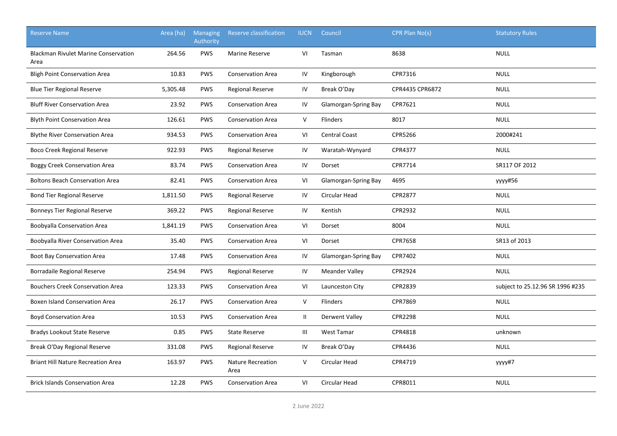| <b>Reserve Name</b>                                 | Area (ha) | <b>Managing</b><br>Authority | Reserve classification           | <b>IUCN</b>   | Council                     | CPR Plan No(s)  | <b>Statutory Rules</b>           |
|-----------------------------------------------------|-----------|------------------------------|----------------------------------|---------------|-----------------------------|-----------------|----------------------------------|
| <b>Blackman Rivulet Marine Conservation</b><br>Area | 264.56    | <b>PWS</b>                   | <b>Marine Reserve</b>            | VI            | Tasman                      | 8638            | <b>NULL</b>                      |
| <b>Bligh Point Conservation Area</b>                | 10.83     | <b>PWS</b>                   | <b>Conservation Area</b>         | IV            | Kingborough                 | CPR7316         | <b>NULL</b>                      |
| <b>Blue Tier Regional Reserve</b>                   | 5,305.48  | <b>PWS</b>                   | <b>Regional Reserve</b>          | IV            | Break O'Day                 | CPR4435 CPR6872 | <b>NULL</b>                      |
| <b>Bluff River Conservation Area</b>                | 23.92     | <b>PWS</b>                   | <b>Conservation Area</b>         | IV            | Glamorgan-Spring Bay        | CPR7621         | <b>NULL</b>                      |
| <b>Blyth Point Conservation Area</b>                | 126.61    | <b>PWS</b>                   | <b>Conservation Area</b>         | V             | Flinders                    | 8017            | <b>NULL</b>                      |
| <b>Blythe River Conservation Area</b>               | 934.53    | <b>PWS</b>                   | <b>Conservation Area</b>         | VI            | <b>Central Coast</b>        | CPR5266         | 2000#241                         |
| <b>Boco Creek Regional Reserve</b>                  | 922.93    | <b>PWS</b>                   | <b>Regional Reserve</b>          | IV            | Waratah-Wynyard             | CPR4377         | <b>NULL</b>                      |
| <b>Boggy Creek Conservation Area</b>                | 83.74     | <b>PWS</b>                   | <b>Conservation Area</b>         | IV            | Dorset                      | CPR7714         | SR117 OF 2012                    |
| <b>Boltons Beach Conservation Area</b>              | 82.41     | <b>PWS</b>                   | <b>Conservation Area</b>         | VI            | <b>Glamorgan-Spring Bay</b> | 4695            | уууу#56                          |
| <b>Bond Tier Regional Reserve</b>                   | 1,811.50  | <b>PWS</b>                   | <b>Regional Reserve</b>          | IV            | Circular Head               | CPR2877         | <b>NULL</b>                      |
| <b>Bonneys Tier Regional Reserve</b>                | 369.22    | <b>PWS</b>                   | <b>Regional Reserve</b>          | IV            | Kentish                     | CPR2932         | <b>NULL</b>                      |
| <b>Boobyalla Conservation Area</b>                  | 1,841.19  | <b>PWS</b>                   | <b>Conservation Area</b>         | VI            | Dorset                      | 8004            | <b>NULL</b>                      |
| Boobyalla River Conservation Area                   | 35.40     | <b>PWS</b>                   | <b>Conservation Area</b>         | VI            | Dorset                      | <b>CPR7658</b>  | SR13 of 2013                     |
| Boot Bay Conservation Area                          | 17.48     | <b>PWS</b>                   | <b>Conservation Area</b>         | IV            | Glamorgan-Spring Bay        | CPR7402         | <b>NULL</b>                      |
| Borradaile Regional Reserve                         | 254.94    | <b>PWS</b>                   | <b>Regional Reserve</b>          | IV            | <b>Meander Valley</b>       | CPR2924         | <b>NULL</b>                      |
| <b>Bouchers Creek Conservation Area</b>             | 123.33    | <b>PWS</b>                   | <b>Conservation Area</b>         | VI            | Launceston City             | CPR2839         | subject to 25.12.96 SR 1996 #235 |
| <b>Boxen Island Conservation Area</b>               | 26.17     | <b>PWS</b>                   | <b>Conservation Area</b>         | $\mathsf{V}$  | Flinders                    | CPR7869         | <b>NULL</b>                      |
| <b>Boyd Conservation Area</b>                       | 10.53     | <b>PWS</b>                   | <b>Conservation Area</b>         | $\mathbf{II}$ | Derwent Valley              | <b>CPR2298</b>  | <b>NULL</b>                      |
| <b>Bradys Lookout State Reserve</b>                 | 0.85      | PWS                          | <b>State Reserve</b>             | Ш             | <b>West Tamar</b>           | CPR4818         | unknown                          |
| Break O'Day Regional Reserve                        | 331.08    | <b>PWS</b>                   | <b>Regional Reserve</b>          | IV            | Break O'Day                 | CPR4436         | <b>NULL</b>                      |
| <b>Briant Hill Nature Recreation Area</b>           | 163.97    | <b>PWS</b>                   | <b>Nature Recreation</b><br>Area | V             | <b>Circular Head</b>        | CPR4719         | yyyy#7                           |
| <b>Brick Islands Conservation Area</b>              | 12.28     | <b>PWS</b>                   | <b>Conservation Area</b>         | VI            | Circular Head               | CPR8011         | <b>NULL</b>                      |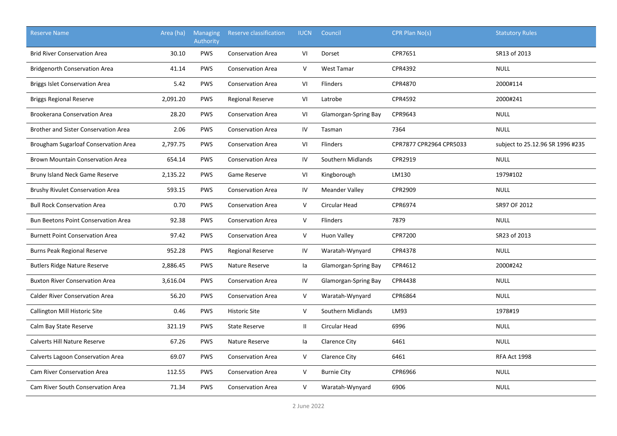| <b>Reserve Name</b>                         | Area (ha) | <b>Managing</b><br>Authority | Reserve classification   | <b>IUCN</b>  | Council               | CPR Plan No(s)          | <b>Statutory Rules</b>           |
|---------------------------------------------|-----------|------------------------------|--------------------------|--------------|-----------------------|-------------------------|----------------------------------|
| <b>Brid River Conservation Area</b>         | 30.10     | <b>PWS</b>                   | <b>Conservation Area</b> | VI           | Dorset                | CPR7651                 | SR13 of 2013                     |
| <b>Bridgenorth Conservation Area</b>        | 41.14     | <b>PWS</b>                   | <b>Conservation Area</b> | $\sf V$      | West Tamar            | CPR4392                 | <b>NULL</b>                      |
| <b>Briggs Islet Conservation Area</b>       | 5.42      | <b>PWS</b>                   | <b>Conservation Area</b> | VI           | Flinders              | CPR4870                 | 2000#114                         |
| <b>Briggs Regional Reserve</b>              | 2,091.20  | <b>PWS</b>                   | <b>Regional Reserve</b>  | VI           | Latrobe               | CPR4592                 | 2000#241                         |
| <b>Brookerana Conservation Area</b>         | 28.20     | <b>PWS</b>                   | <b>Conservation Area</b> | VI           | Glamorgan-Spring Bay  | CPR9643                 | <b>NULL</b>                      |
| <b>Brother and Sister Conservation Area</b> | 2.06      | <b>PWS</b>                   | <b>Conservation Area</b> | IV           | Tasman                | 7364                    | <b>NULL</b>                      |
| Brougham Sugarloaf Conservation Area        | 2,797.75  | <b>PWS</b>                   | <b>Conservation Area</b> | VI           | Flinders              | CPR7877 CPR2964 CPR5033 | subject to 25.12.96 SR 1996 #235 |
| <b>Brown Mountain Conservation Area</b>     | 654.14    | <b>PWS</b>                   | <b>Conservation Area</b> | IV           | Southern Midlands     | CPR2919                 | <b>NULL</b>                      |
| Bruny Island Neck Game Reserve              | 2,135.22  | <b>PWS</b>                   | Game Reserve             | VI           | Kingborough           | LM130                   | 1979#102                         |
| Brushy Rivulet Conservation Area            | 593.15    | <b>PWS</b>                   | <b>Conservation Area</b> | IV           | <b>Meander Valley</b> | CPR2909                 | <b>NULL</b>                      |
| <b>Bull Rock Conservation Area</b>          | 0.70      | PWS                          | <b>Conservation Area</b> | $\sf V$      | Circular Head         | CPR6974                 | SR97 OF 2012                     |
| Bun Beetons Point Conservation Area         | 92.38     | <b>PWS</b>                   | <b>Conservation Area</b> | $\mathsf{V}$ | Flinders              | 7879                    | <b>NULL</b>                      |
| <b>Burnett Point Conservation Area</b>      | 97.42     | <b>PWS</b>                   | <b>Conservation Area</b> | $\mathsf{V}$ | Huon Valley           | CPR7200                 | SR23 of 2013                     |
| <b>Burns Peak Regional Reserve</b>          | 952.28    | <b>PWS</b>                   | <b>Regional Reserve</b>  | IV           | Waratah-Wynyard       | CPR4378                 | <b>NULL</b>                      |
| <b>Butlers Ridge Nature Reserve</b>         | 2,886.45  | <b>PWS</b>                   | Nature Reserve           | la           | Glamorgan-Spring Bay  | CPR4612                 | 2000#242                         |
| <b>Buxton River Conservation Area</b>       | 3,616.04  | <b>PWS</b>                   | <b>Conservation Area</b> | IV           | Glamorgan-Spring Bay  | CPR4438                 | <b>NULL</b>                      |
| <b>Calder River Conservation Area</b>       | 56.20     | <b>PWS</b>                   | <b>Conservation Area</b> | $\mathsf{V}$ | Waratah-Wynyard       | CPR6864                 | <b>NULL</b>                      |
| Callington Mill Historic Site               | 0.46      | <b>PWS</b>                   | <b>Historic Site</b>     | $\mathsf{V}$ | Southern Midlands     | LM93                    | 1978#19                          |
| Calm Bay State Reserve                      | 321.19    | <b>PWS</b>                   | <b>State Reserve</b>     | $\mathbf{H}$ | Circular Head         | 6996                    | <b>NULL</b>                      |
| Calverts Hill Nature Reserve                | 67.26     | <b>PWS</b>                   | Nature Reserve           | la           | Clarence City         | 6461                    | <b>NULL</b>                      |
| Calverts Lagoon Conservation Area           | 69.07     | <b>PWS</b>                   | <b>Conservation Area</b> | $\mathsf{V}$ | Clarence City         | 6461                    | RFA Act 1998                     |
| <b>Cam River Conservation Area</b>          | 112.55    | <b>PWS</b>                   | <b>Conservation Area</b> | $\mathsf{V}$ | <b>Burnie City</b>    | CPR6966                 | <b>NULL</b>                      |
| <b>Cam River South Conservation Area</b>    | 71.34     | <b>PWS</b>                   | <b>Conservation Area</b> | $\mathsf{V}$ | Waratah-Wynyard       | 6906                    | <b>NULL</b>                      |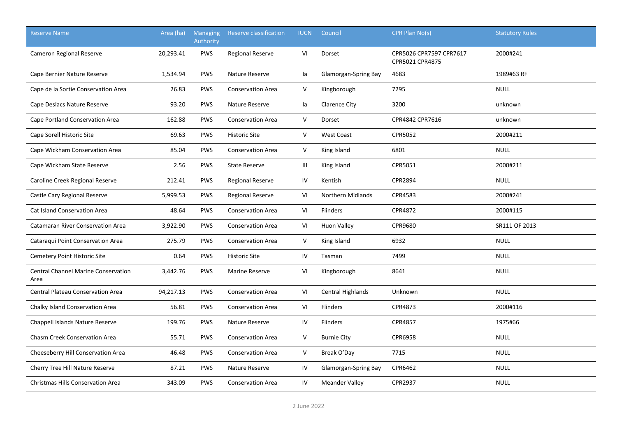| <b>Reserve Name</b>                                | Area (ha) | <b>Managing</b><br>Authority | <b>Reserve classification</b> | <b>IUCN</b>  | Council               | CPR Plan No(s)                             | <b>Statutory Rules</b> |
|----------------------------------------------------|-----------|------------------------------|-------------------------------|--------------|-----------------------|--------------------------------------------|------------------------|
| Cameron Regional Reserve                           | 20,293.41 | <b>PWS</b>                   | <b>Regional Reserve</b>       | VI           | Dorset                | CPR5026 CPR7597 CPR7617<br>CPR5021 CPR4875 | 2000#241               |
| Cape Bernier Nature Reserve                        | 1,534.94  | <b>PWS</b>                   | Nature Reserve                | la           | Glamorgan-Spring Bay  | 4683                                       | 1989#63 RF             |
| Cape de la Sortie Conservation Area                | 26.83     | <b>PWS</b>                   | <b>Conservation Area</b>      | V            | Kingborough           | 7295                                       | <b>NULL</b>            |
| Cape Deslacs Nature Reserve                        | 93.20     | <b>PWS</b>                   | Nature Reserve                | la           | Clarence City         | 3200                                       | unknown                |
| Cape Portland Conservation Area                    | 162.88    | <b>PWS</b>                   | <b>Conservation Area</b>      | $\mathsf{V}$ | Dorset                | CPR4842 CPR7616                            | unknown                |
| Cape Sorell Historic Site                          | 69.63     | <b>PWS</b>                   | <b>Historic Site</b>          | $\mathsf{V}$ | <b>West Coast</b>     | CPR5052                                    | 2000#211               |
| Cape Wickham Conservation Area                     | 85.04     | <b>PWS</b>                   | <b>Conservation Area</b>      | V            | King Island           | 6801                                       | <b>NULL</b>            |
| Cape Wickham State Reserve                         | 2.56      | <b>PWS</b>                   | <b>State Reserve</b>          | Ш            | King Island           | CPR5051                                    | 2000#211               |
| Caroline Creek Regional Reserve                    | 212.41    | PWS                          | <b>Regional Reserve</b>       | IV           | Kentish               | CPR2894                                    | <b>NULL</b>            |
| Castle Cary Regional Reserve                       | 5,999.53  | <b>PWS</b>                   | <b>Regional Reserve</b>       | VI           | Northern Midlands     | CPR4583                                    | 2000#241               |
| <b>Cat Island Conservation Area</b>                | 48.64     | <b>PWS</b>                   | <b>Conservation Area</b>      | VI           | Flinders              | CPR4872                                    | 2000#115               |
| Catamaran River Conservation Area                  | 3,922.90  | <b>PWS</b>                   | <b>Conservation Area</b>      | VI           | <b>Huon Valley</b>    | CPR9680                                    | SR111 OF 2013          |
| Cataraqui Point Conservation Area                  | 275.79    | <b>PWS</b>                   | <b>Conservation Area</b>      | V            | King Island           | 6932                                       | <b>NULL</b>            |
| Cemetery Point Historic Site                       | 0.64      | <b>PWS</b>                   | <b>Historic Site</b>          | IV           | Tasman                | 7499                                       | <b>NULL</b>            |
| <b>Central Channel Marine Conservation</b><br>Area | 3,442.76  | <b>PWS</b>                   | <b>Marine Reserve</b>         | VI           | Kingborough           | 8641                                       | <b>NULL</b>            |
| <b>Central Plateau Conservation Area</b>           | 94,217.13 | PWS                          | <b>Conservation Area</b>      | VI           | Central Highlands     | Unknown                                    | <b>NULL</b>            |
| Chalky Island Conservation Area                    | 56.81     | <b>PWS</b>                   | <b>Conservation Area</b>      | VI           | <b>Flinders</b>       | CPR4873                                    | 2000#116               |
| Chappell Islands Nature Reserve                    | 199.76    | <b>PWS</b>                   | Nature Reserve                | IV           | Flinders              | CPR4857                                    | 1975#66                |
| <b>Chasm Creek Conservation Area</b>               | 55.71     | <b>PWS</b>                   | <b>Conservation Area</b>      | V            | <b>Burnie City</b>    | <b>CPR6958</b>                             | <b>NULL</b>            |
| Cheeseberry Hill Conservation Area                 | 46.48     | <b>PWS</b>                   | <b>Conservation Area</b>      | V            | Break O'Day           | 7715                                       | <b>NULL</b>            |
| Cherry Tree Hill Nature Reserve                    | 87.21     | <b>PWS</b>                   | Nature Reserve                | IV           | Glamorgan-Spring Bay  | CPR6462                                    | <b>NULL</b>            |
| <b>Christmas Hills Conservation Area</b>           | 343.09    | <b>PWS</b>                   | <b>Conservation Area</b>      | IV           | <b>Meander Valley</b> | CPR2937                                    | <b>NULL</b>            |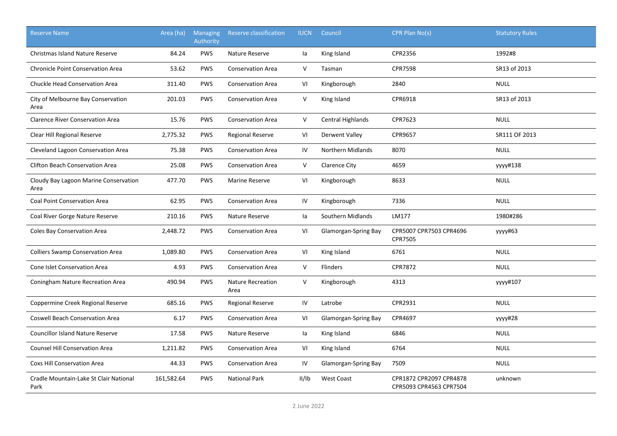| <b>Reserve Name</b>                            | Area (ha)  | Managing<br>Authority | Reserve classification           | <b>IUCN</b> | Council                  | CPR Plan No(s)                                     | <b>Statutory Rules</b> |
|------------------------------------------------|------------|-----------------------|----------------------------------|-------------|--------------------------|----------------------------------------------------|------------------------|
| <b>Christmas Island Nature Reserve</b>         | 84.24      | <b>PWS</b>            | Nature Reserve                   | la          | King Island              | CPR2356                                            | 1992#8                 |
| <b>Chronicle Point Conservation Area</b>       | 53.62      | PWS                   | <b>Conservation Area</b>         | V           | Tasman                   | <b>CPR7598</b>                                     | SR13 of 2013           |
| Chuckle Head Conservation Area                 | 311.40     | <b>PWS</b>            | <b>Conservation Area</b>         | VI          | Kingborough              | 2840                                               | <b>NULL</b>            |
| City of Melbourne Bay Conservation<br>Area     | 201.03     | <b>PWS</b>            | <b>Conservation Area</b>         | V           | King Island              | CPR6918                                            | SR13 of 2013           |
| <b>Clarence River Conservation Area</b>        | 15.76      | <b>PWS</b>            | <b>Conservation Area</b>         | V           | <b>Central Highlands</b> | CPR7623                                            | <b>NULL</b>            |
| Clear Hill Regional Reserve                    | 2,775.32   | <b>PWS</b>            | <b>Regional Reserve</b>          | VI          | <b>Derwent Valley</b>    | CPR9657                                            | SR111 OF 2013          |
| Cleveland Lagoon Conservation Area             | 75.38      | <b>PWS</b>            | <b>Conservation Area</b>         | IV          | <b>Northern Midlands</b> | 8070                                               | <b>NULL</b>            |
| <b>Clifton Beach Conservation Area</b>         | 25.08      | <b>PWS</b>            | <b>Conservation Area</b>         | V           | Clarence City            | 4659                                               | yyyy#138               |
| Cloudy Bay Lagoon Marine Conservation<br>Area  | 477.70     | <b>PWS</b>            | <b>Marine Reserve</b>            | VI          | Kingborough              | 8633                                               | <b>NULL</b>            |
| <b>Coal Point Conservation Area</b>            | 62.95      | <b>PWS</b>            | <b>Conservation Area</b>         | IV          | Kingborough              | 7336                                               | <b>NULL</b>            |
| Coal River Gorge Nature Reserve                | 210.16     | PWS                   | Nature Reserve                   | la          | Southern Midlands        | LM177                                              | 1980#286               |
| Coles Bay Conservation Area                    | 2,448.72   | <b>PWS</b>            | <b>Conservation Area</b>         | VI          | Glamorgan-Spring Bay     | CPR5007 CPR7503 CPR4696<br>CPR7505                 | yyyy#63                |
| <b>Colliers Swamp Conservation Area</b>        | 1,089.80   | <b>PWS</b>            | <b>Conservation Area</b>         | VI          | King Island              | 6761                                               | <b>NULL</b>            |
| Cone Islet Conservation Area                   | 4.93       | <b>PWS</b>            | <b>Conservation Area</b>         | V           | Flinders                 | CPR7872                                            | <b>NULL</b>            |
| Coningham Nature Recreation Area               | 490.94     | <b>PWS</b>            | <b>Nature Recreation</b><br>Area | V           | Kingborough              | 4313                                               | уууу#107               |
| Coppermine Creek Regional Reserve              | 685.16     | <b>PWS</b>            | <b>Regional Reserve</b>          | IV          | Latrobe                  | CPR2931                                            | <b>NULL</b>            |
| <b>Coswell Beach Conservation Area</b>         | 6.17       | <b>PWS</b>            | <b>Conservation Area</b>         | VI          | Glamorgan-Spring Bay     | CPR4697                                            | уууу#28                |
| <b>Councillor Island Nature Reserve</b>        | 17.58      | <b>PWS</b>            | Nature Reserve                   | la          | King Island              | 6846                                               | <b>NULL</b>            |
| <b>Counsel Hill Conservation Area</b>          | 1,211.82   | <b>PWS</b>            | <b>Conservation Area</b>         | VI          | King Island              | 6764                                               | <b>NULL</b>            |
| Coxs Hill Conservation Area                    | 44.33      | PWS                   | <b>Conservation Area</b>         | ${\sf IV}$  | Glamorgan-Spring Bay     | 7509                                               | <b>NULL</b>            |
| Cradle Mountain-Lake St Clair National<br>Park | 161,582.64 | <b>PWS</b>            | <b>National Park</b>             | II/IB       | <b>West Coast</b>        | CPR1872 CPR2097 CPR4878<br>CPR5093 CPR4563 CPR7504 | unknown                |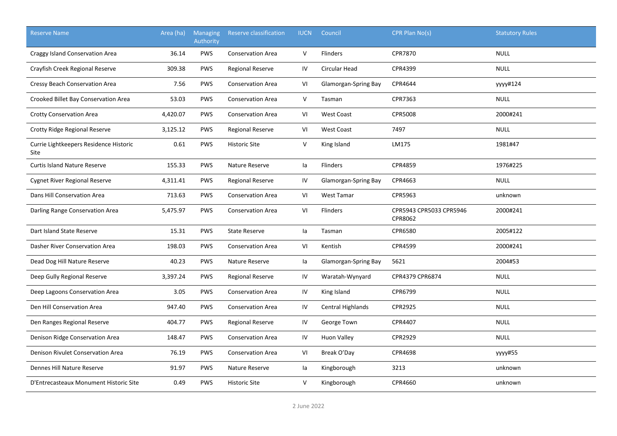| <b>Reserve Name</b>                            | Area (ha) | <b>Managing</b><br>Authority | Reserve classification   | <b>IUCN</b> | Council              | CPR Plan No(s)                     | <b>Statutory Rules</b> |
|------------------------------------------------|-----------|------------------------------|--------------------------|-------------|----------------------|------------------------------------|------------------------|
| Craggy Island Conservation Area                | 36.14     | <b>PWS</b>                   | <b>Conservation Area</b> | V           | <b>Flinders</b>      | <b>CPR7870</b>                     | <b>NULL</b>            |
| Crayfish Creek Regional Reserve                | 309.38    | <b>PWS</b>                   | <b>Regional Reserve</b>  | IV          | <b>Circular Head</b> | CPR4399                            | <b>NULL</b>            |
| Cressy Beach Conservation Area                 | 7.56      | <b>PWS</b>                   | <b>Conservation Area</b> | VI          | Glamorgan-Spring Bay | CPR4644                            | yyyy#124               |
| Crooked Billet Bay Conservation Area           | 53.03     | <b>PWS</b>                   | <b>Conservation Area</b> | V           | Tasman               | CPR7363                            | <b>NULL</b>            |
| <b>Crotty Conservation Area</b>                | 4,420.07  | <b>PWS</b>                   | <b>Conservation Area</b> | VI          | <b>West Coast</b>    | <b>CPR5008</b>                     | 2000#241               |
| Crotty Ridge Regional Reserve                  | 3,125.12  | <b>PWS</b>                   | <b>Regional Reserve</b>  | VI          | <b>West Coast</b>    | 7497                               | <b>NULL</b>            |
| Currie Lightkeepers Residence Historic<br>Site | 0.61      | <b>PWS</b>                   | <b>Historic Site</b>     | V           | King Island          | LM175                              | 1981#47                |
| <b>Curtis Island Nature Reserve</b>            | 155.33    | <b>PWS</b>                   | Nature Reserve           | la          | <b>Flinders</b>      | CPR4859                            | 1976#225               |
| <b>Cygnet River Regional Reserve</b>           | 4,311.41  | <b>PWS</b>                   | <b>Regional Reserve</b>  | IV          | Glamorgan-Spring Bay | CPR4663                            | <b>NULL</b>            |
| Dans Hill Conservation Area                    | 713.63    | <b>PWS</b>                   | <b>Conservation Area</b> | VI          | <b>West Tamar</b>    | CPR5963                            | unknown                |
| Darling Range Conservation Area                | 5,475.97  | <b>PWS</b>                   | <b>Conservation Area</b> | VI          | <b>Flinders</b>      | CPR5943 CPR5033 CPR5946<br>CPR8062 | 2000#241               |
| Dart Island State Reserve                      | 15.31     | <b>PWS</b>                   | <b>State Reserve</b>     | la          | Tasman               | CPR6580                            | 2005#122               |
| Dasher River Conservation Area                 | 198.03    | <b>PWS</b>                   | <b>Conservation Area</b> | VI          | Kentish              | CPR4599                            | 2000#241               |
| Dead Dog Hill Nature Reserve                   | 40.23     | <b>PWS</b>                   | Nature Reserve           | la          | Glamorgan-Spring Bay | 5621                               | 2004#53                |
| Deep Gully Regional Reserve                    | 3,397.24  | <b>PWS</b>                   | <b>Regional Reserve</b>  | IV          | Waratah-Wynyard      | CPR4379 CPR6874                    | <b>NULL</b>            |
| Deep Lagoons Conservation Area                 | 3.05      | <b>PWS</b>                   | <b>Conservation Area</b> | IV          | King Island          | CPR6799                            | <b>NULL</b>            |
| Den Hill Conservation Area                     | 947.40    | <b>PWS</b>                   | <b>Conservation Area</b> | IV          | Central Highlands    | CPR2925                            | <b>NULL</b>            |
| Den Ranges Regional Reserve                    | 404.77    | <b>PWS</b>                   | <b>Regional Reserve</b>  | IV          | George Town          | CPR4407                            | <b>NULL</b>            |
| Denison Ridge Conservation Area                | 148.47    | <b>PWS</b>                   | <b>Conservation Area</b> | IV          | <b>Huon Valley</b>   | CPR2929                            | <b>NULL</b>            |
| Denison Rivulet Conservation Area              | 76.19     | <b>PWS</b>                   | <b>Conservation Area</b> | VI          | Break O'Day          | CPR4698                            | уууу#55                |
| Dennes Hill Nature Reserve                     | 91.97     | <b>PWS</b>                   | Nature Reserve           | la          | Kingborough          | 3213                               | unknown                |
| D'Entrecasteaux Monument Historic Site         | 0.49      | <b>PWS</b>                   | <b>Historic Site</b>     | V           | Kingborough          | CPR4660                            | unknown                |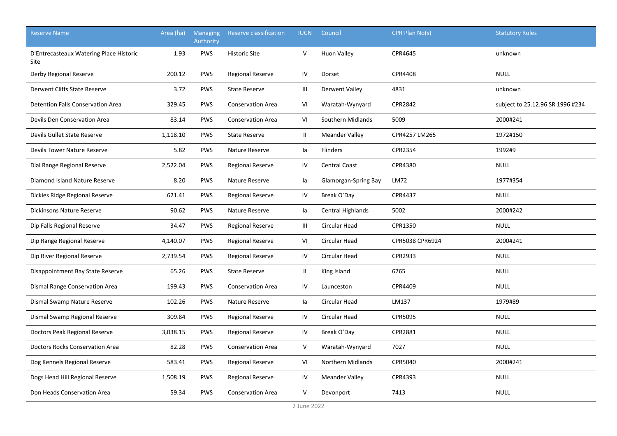| <b>Reserve Name</b>                             | Area (ha) | <b>Managing</b><br>Authority | <b>Reserve classification</b> | <b>IUCN</b>    | Council               | CPR Plan No(s)  | <b>Statutory Rules</b>           |
|-------------------------------------------------|-----------|------------------------------|-------------------------------|----------------|-----------------------|-----------------|----------------------------------|
| D'Entrecasteaux Watering Place Historic<br>Site | 1.93      | <b>PWS</b>                   | <b>Historic Site</b>          | $\mathsf{V}$   | <b>Huon Valley</b>    | CPR4645         | unknown                          |
| Derby Regional Reserve                          | 200.12    | <b>PWS</b>                   | <b>Regional Reserve</b>       | IV             | Dorset                | <b>CPR4408</b>  | <b>NULL</b>                      |
| Derwent Cliffs State Reserve                    | 3.72      | <b>PWS</b>                   | <b>State Reserve</b>          | Ш              | Derwent Valley        | 4831            | unknown                          |
| Detention Falls Conservation Area               | 329.45    | <b>PWS</b>                   | <b>Conservation Area</b>      | VI             | Waratah-Wynyard       | CPR2842         | subject to 25.12.96 SR 1996 #234 |
| Devils Den Conservation Area                    | 83.14     | <b>PWS</b>                   | <b>Conservation Area</b>      | VI             | Southern Midlands     | 5009            | 2000#241                         |
| Devils Gullet State Reserve                     | 1,118.10  | <b>PWS</b>                   | <b>State Reserve</b>          | $\mathbf{II}$  | <b>Meander Valley</b> | CPR4257 LM265   | 1972#150                         |
| Devils Tower Nature Reserve                     | 5.82      | <b>PWS</b>                   | Nature Reserve                | la             | Flinders              | CPR2354         | 1992#9                           |
| Dial Range Regional Reserve                     | 2,522.04  | <b>PWS</b>                   | <b>Regional Reserve</b>       | IV             | <b>Central Coast</b>  | CPR4380         | <b>NULL</b>                      |
| Diamond Island Nature Reserve                   | 8.20      | <b>PWS</b>                   | Nature Reserve                | la             | Glamorgan-Spring Bay  | LM72            | 1977#354                         |
| Dickies Ridge Regional Reserve                  | 621.41    | <b>PWS</b>                   | <b>Regional Reserve</b>       | IV             | Break O'Day           | CPR4437         | <b>NULL</b>                      |
| Dickinsons Nature Reserve                       | 90.62     | <b>PWS</b>                   | Nature Reserve                | la             | Central Highlands     | 5002            | 2000#242                         |
| Dip Falls Regional Reserve                      | 34.47     | <b>PWS</b>                   | Regional Reserve              | $\mathbf{III}$ | Circular Head         | CPR1350         | <b>NULL</b>                      |
| Dip Range Regional Reserve                      | 4,140.07  | <b>PWS</b>                   | <b>Regional Reserve</b>       | VI             | Circular Head         | CPR5038 CPR6924 | 2000#241                         |
| Dip River Regional Reserve                      | 2,739.54  | <b>PWS</b>                   | Regional Reserve              | IV             | Circular Head         | CPR2933         | <b>NULL</b>                      |
| Disappointment Bay State Reserve                | 65.26     | PWS                          | <b>State Reserve</b>          | $\mathbf{II}$  | King Island           | 6765            | <b>NULL</b>                      |
| Dismal Range Conservation Area                  | 199.43    | <b>PWS</b>                   | <b>Conservation Area</b>      | IV             | Launceston            | CPR4409         | <b>NULL</b>                      |
| Dismal Swamp Nature Reserve                     | 102.26    | PWS                          | Nature Reserve                | la             | Circular Head         | LM137           | 1979#89                          |
| Dismal Swamp Regional Reserve                   | 309.84    | PWS                          | Regional Reserve              | IV             | Circular Head         | CPR5095         | <b>NULL</b>                      |
| Doctors Peak Regional Reserve                   | 3,038.15  | PWS                          | <b>Regional Reserve</b>       | IV             | Break O'Day           | CPR2881         | <b>NULL</b>                      |
| <b>Doctors Rocks Conservation Area</b>          | 82.28     | <b>PWS</b>                   | <b>Conservation Area</b>      | $\vee$         | Waratah-Wynyard       | 7027            | <b>NULL</b>                      |
| Dog Kennels Regional Reserve                    | 583.41    | <b>PWS</b>                   | Regional Reserve              | VI             | Northern Midlands     | CPR5040         | 2000#241                         |
| Dogs Head Hill Regional Reserve                 | 1,508.19  | <b>PWS</b>                   | Regional Reserve              | IV             | <b>Meander Valley</b> | CPR4393         | <b>NULL</b>                      |
| Don Heads Conservation Area                     | 59.34     | <b>PWS</b>                   | <b>Conservation Area</b>      | $\mathsf{V}$   | Devonport             | 7413            | <b>NULL</b>                      |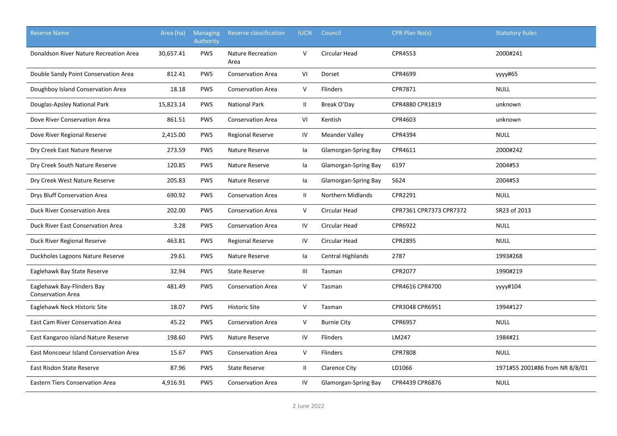| <b>Reserve Name</b>                                    | Area (ha) | <b>Managing</b><br>Authority | Reserve classification           | <b>IUCN</b>  | Council                  | CPR Plan No(s)          | <b>Statutory Rules</b>         |
|--------------------------------------------------------|-----------|------------------------------|----------------------------------|--------------|--------------------------|-------------------------|--------------------------------|
| Donaldson River Nature Recreation Area                 | 30,657.41 | <b>PWS</b>                   | <b>Nature Recreation</b><br>Area | $\vee$       | Circular Head            | CPR4553                 | 2000#241                       |
| Double Sandy Point Conservation Area                   | 812.41    | <b>PWS</b>                   | <b>Conservation Area</b>         | VI           | Dorset                   | CPR4699                 | уууу#65                        |
| Doughboy Island Conservation Area                      | 18.18     | <b>PWS</b>                   | <b>Conservation Area</b>         | $\vee$       | <b>Flinders</b>          | CPR7871                 | <b>NULL</b>                    |
| Douglas-Apsley National Park                           | 15,823.14 | <b>PWS</b>                   | <b>National Park</b>             | Ш            | Break O'Day              | CPR4880 CPR1819         | unknown                        |
| Dove River Conservation Area                           | 861.51    | <b>PWS</b>                   | <b>Conservation Area</b>         | VI           | Kentish                  | CPR4603                 | unknown                        |
| Dove River Regional Reserve                            | 2,415.00  | <b>PWS</b>                   | <b>Regional Reserve</b>          | IV           | <b>Meander Valley</b>    | CPR4394                 | <b>NULL</b>                    |
| Dry Creek East Nature Reserve                          | 273.59    | <b>PWS</b>                   | Nature Reserve                   | la           | Glamorgan-Spring Bay     | CPR4611                 | 2000#242                       |
| Dry Creek South Nature Reserve                         | 120.85    | <b>PWS</b>                   | Nature Reserve                   | la           | Glamorgan-Spring Bay     | 6197                    | 2004#53                        |
| Dry Creek West Nature Reserve                          | 205.83    | <b>PWS</b>                   | Nature Reserve                   | la           | Glamorgan-Spring Bay     | 5624                    | 2004#53                        |
| Drys Bluff Conservation Area                           | 690.92    | <b>PWS</b>                   | <b>Conservation Area</b>         | $\mathbf{H}$ | <b>Northern Midlands</b> | CPR2291                 | <b>NULL</b>                    |
| Duck River Conservation Area                           | 202.00    | <b>PWS</b>                   | <b>Conservation Area</b>         | $\mathsf{V}$ | Circular Head            | CPR7361 CPR7373 CPR7372 | SR23 of 2013                   |
| Duck River East Conservation Area                      | 3.28      | <b>PWS</b>                   | <b>Conservation Area</b>         | IV           | Circular Head            | CPR6922                 | <b>NULL</b>                    |
| Duck River Regional Reserve                            | 463.81    | <b>PWS</b>                   | <b>Regional Reserve</b>          | IV           | <b>Circular Head</b>     | <b>CPR2895</b>          | <b>NULL</b>                    |
| Duckholes Lagoons Nature Reserve                       | 29.61     | <b>PWS</b>                   | Nature Reserve                   | la           | Central Highlands        | 2787                    | 1993#268                       |
| Eaglehawk Bay State Reserve                            | 32.94     | <b>PWS</b>                   | <b>State Reserve</b>             | Ш            | Tasman                   | CPR2077                 | 1990#219                       |
| Eaglehawk Bay-Flinders Bay<br><b>Conservation Area</b> | 481.49    | <b>PWS</b>                   | <b>Conservation Area</b>         | $\vee$       | Tasman                   | CPR4616 CPR4700         | yyyy#104                       |
| Eaglehawk Neck Historic Site                           | 18.07     | <b>PWS</b>                   | <b>Historic Site</b>             | $\vee$       | Tasman                   | CPR3048 CPR6951         | 1994#127                       |
| East Cam River Conservation Area                       | 45.22     | <b>PWS</b>                   | <b>Conservation Area</b>         | $\mathsf{V}$ | <b>Burnie City</b>       | CPR6957                 | <b>NULL</b>                    |
| East Kangaroo Island Nature Reserve                    | 198.60    | <b>PWS</b>                   | Nature Reserve                   | IV           | <b>Flinders</b>          | LM247                   | 1984#21                        |
| East Moncoeur Island Conservation Area                 | 15.67     | <b>PWS</b>                   | <b>Conservation Area</b>         | $\mathsf{V}$ | Flinders                 | <b>CPR7808</b>          | <b>NULL</b>                    |
| East Risdon State Reserve                              | 87.96     | <b>PWS</b>                   | <b>State Reserve</b>             | $\mathbf{H}$ | Clarence City            | LD1066                  | 1971#55 2001#86 from NR 8/8/01 |
| <b>Eastern Tiers Conservation Area</b>                 | 4,916.91  | <b>PWS</b>                   | <b>Conservation Area</b>         | IV           | Glamorgan-Spring Bay     | CPR4439 CPR6876         | <b>NULL</b>                    |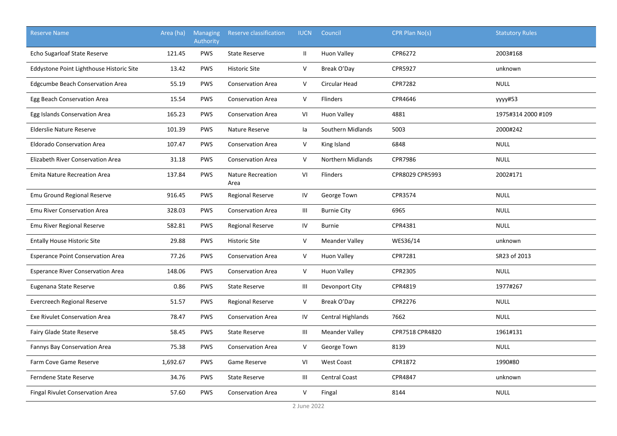| <b>Reserve Name</b>                      | Area (ha) | <b>Managing</b><br>Authority | Reserve classification    | <b>IUCN</b>                        | Council               | CPR Plan No(s)  | <b>Statutory Rules</b> |
|------------------------------------------|-----------|------------------------------|---------------------------|------------------------------------|-----------------------|-----------------|------------------------|
| Echo Sugarloaf State Reserve             | 121.45    | <b>PWS</b>                   | <b>State Reserve</b>      | $\mathbf{II}$                      | <b>Huon Valley</b>    | CPR6272         | 2003#168               |
| Eddystone Point Lighthouse Historic Site | 13.42     | <b>PWS</b>                   | <b>Historic Site</b>      | V                                  | Break O'Day           | <b>CPR5927</b>  | unknown                |
| <b>Edgcumbe Beach Conservation Area</b>  | 55.19     | <b>PWS</b>                   | <b>Conservation Area</b>  | V                                  | Circular Head         | <b>CPR7282</b>  | <b>NULL</b>            |
| Egg Beach Conservation Area              | 15.54     | <b>PWS</b>                   | <b>Conservation Area</b>  | V                                  | Flinders              | CPR4646         | yyyy#53                |
| Egg Islands Conservation Area            | 165.23    | <b>PWS</b>                   | <b>Conservation Area</b>  | VI                                 | <b>Huon Valley</b>    | 4881            | 1975#314 2000 #109     |
| <b>Elderslie Nature Reserve</b>          | 101.39    | PWS                          | Nature Reserve            | la                                 | Southern Midlands     | 5003            | 2000#242               |
| <b>Eldorado Conservation Area</b>        | 107.47    | PWS                          | <b>Conservation Area</b>  | V                                  | King Island           | 6848            | <b>NULL</b>            |
| Elizabeth River Conservation Area        | 31.18     | PWS                          | <b>Conservation Area</b>  | V                                  | Northern Midlands     | CPR7986         | <b>NULL</b>            |
| <b>Emita Nature Recreation Area</b>      | 137.84    | <b>PWS</b>                   | Nature Recreation<br>Area | VI                                 | Flinders              | CPR8029 CPR5993 | 2002#171               |
| Emu Ground Regional Reserve              | 916.45    | <b>PWS</b>                   | <b>Regional Reserve</b>   | IV                                 | George Town           | CPR3574         | <b>NULL</b>            |
| <b>Emu River Conservation Area</b>       | 328.03    | <b>PWS</b>                   | <b>Conservation Area</b>  | Ш                                  | <b>Burnie City</b>    | 6965            | <b>NULL</b>            |
| Emu River Regional Reserve               | 582.81    | <b>PWS</b>                   | <b>Regional Reserve</b>   | IV                                 | <b>Burnie</b>         | CPR4381         | <b>NULL</b>            |
| <b>Entally House Historic Site</b>       | 29.88     | <b>PWS</b>                   | <b>Historic Site</b>      | V                                  | <b>Meander Valley</b> | WES36/14        | unknown                |
| <b>Esperance Point Conservation Area</b> | 77.26     | <b>PWS</b>                   | <b>Conservation Area</b>  | V                                  | <b>Huon Valley</b>    | CPR7281         | SR23 of 2013           |
| <b>Esperance River Conservation Area</b> | 148.06    | <b>PWS</b>                   | <b>Conservation Area</b>  | V                                  | <b>Huon Valley</b>    | CPR2305         | <b>NULL</b>            |
| Eugenana State Reserve                   | 0.86      | <b>PWS</b>                   | <b>State Reserve</b>      | $\ensuremath{\mathsf{III}}\xspace$ | Devonport City        | CPR4819         | 1977#267               |
| Evercreech Regional Reserve              | 51.57     | <b>PWS</b>                   | <b>Regional Reserve</b>   | V                                  | Break O'Day           | CPR2276         | <b>NULL</b>            |
| <b>Exe Rivulet Conservation Area</b>     | 78.47     | <b>PWS</b>                   | <b>Conservation Area</b>  | IV                                 | Central Highlands     | 7662            | <b>NULL</b>            |
| Fairy Glade State Reserve                | 58.45     | <b>PWS</b>                   | <b>State Reserve</b>      | Ш                                  | <b>Meander Valley</b> | CPR7518 CPR4820 | 1961#131               |
| <b>Fannys Bay Conservation Area</b>      | 75.38     | <b>PWS</b>                   | <b>Conservation Area</b>  | V                                  | George Town           | 8139            | <b>NULL</b>            |
| Farm Cove Game Reserve                   | 1,692.67  | <b>PWS</b>                   | Game Reserve              | VI                                 | <b>West Coast</b>     | CPR1872         | 1990#80                |
| Ferndene State Reserve                   | 34.76     | <b>PWS</b>                   | <b>State Reserve</b>      | Ш                                  | <b>Central Coast</b>  | CPR4847         | unknown                |
| <b>Fingal Rivulet Conservation Area</b>  | 57.60     | <b>PWS</b>                   | <b>Conservation Area</b>  | V                                  | Fingal                | 8144            | <b>NULL</b>            |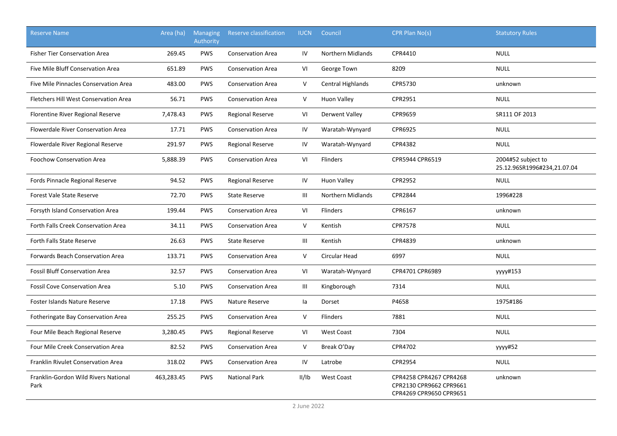| <b>Reserve Name</b>                          | Area (ha)  | <b>Managing</b><br>Authority | <b>Reserve classification</b> | <b>IUCN</b> | Council                  | CPR Plan No(s)                                                                | <b>Statutory Rules</b>                            |
|----------------------------------------------|------------|------------------------------|-------------------------------|-------------|--------------------------|-------------------------------------------------------------------------------|---------------------------------------------------|
| <b>Fisher Tier Conservation Area</b>         | 269.45     | <b>PWS</b>                   | <b>Conservation Area</b>      | IV          | <b>Northern Midlands</b> | CPR4410                                                                       | <b>NULL</b>                                       |
| Five Mile Bluff Conservation Area            | 651.89     | <b>PWS</b>                   | <b>Conservation Area</b>      | VI          | George Town              | 8209                                                                          | <b>NULL</b>                                       |
| Five Mile Pinnacles Conservation Area        | 483.00     | <b>PWS</b>                   | <b>Conservation Area</b>      | V           | Central Highlands        | CPR5730                                                                       | unknown                                           |
| Fletchers Hill West Conservation Area        | 56.71      | <b>PWS</b>                   | <b>Conservation Area</b>      | V           | <b>Huon Valley</b>       | CPR2951                                                                       | <b>NULL</b>                                       |
| Florentine River Regional Reserve            | 7,478.43   | <b>PWS</b>                   | <b>Regional Reserve</b>       | VI          | Derwent Valley           | CPR9659                                                                       | SR111 OF 2013                                     |
| Flowerdale River Conservation Area           | 17.71      | <b>PWS</b>                   | <b>Conservation Area</b>      | IV          | Waratah-Wynyard          | CPR6925                                                                       | <b>NULL</b>                                       |
| Flowerdale River Regional Reserve            | 291.97     | <b>PWS</b>                   | <b>Regional Reserve</b>       | IV          | Waratah-Wynyard          | CPR4382                                                                       | <b>NULL</b>                                       |
| <b>Foochow Conservation Area</b>             | 5,888.39   | <b>PWS</b>                   | <b>Conservation Area</b>      | VI          | <b>Flinders</b>          | CPR5944 CPR6519                                                               | 2004#52 subject to<br>25.12.96SR1996#234,21.07.04 |
| Fords Pinnacle Regional Reserve              | 94.52      | PWS                          | <b>Regional Reserve</b>       | ${\sf IV}$  | <b>Huon Valley</b>       | CPR2952                                                                       | <b>NULL</b>                                       |
| <b>Forest Vale State Reserve</b>             | 72.70      | <b>PWS</b>                   | <b>State Reserve</b>          | Ш           | <b>Northern Midlands</b> | CPR2844                                                                       | 1996#228                                          |
| Forsyth Island Conservation Area             | 199.44     | <b>PWS</b>                   | <b>Conservation Area</b>      | VI          | Flinders                 | CPR6167                                                                       | unknown                                           |
| Forth Falls Creek Conservation Area          | 34.11      | <b>PWS</b>                   | <b>Conservation Area</b>      | $\sf V$     | Kentish                  | <b>CPR7578</b>                                                                | <b>NULL</b>                                       |
| Forth Falls State Reserve                    | 26.63      | <b>PWS</b>                   | <b>State Reserve</b>          | Ш           | Kentish                  | CPR4839                                                                       | unknown                                           |
| Forwards Beach Conservation Area             | 133.71     | <b>PWS</b>                   | <b>Conservation Area</b>      | V           | Circular Head            | 6997                                                                          | <b>NULL</b>                                       |
| <b>Fossil Bluff Conservation Area</b>        | 32.57      | <b>PWS</b>                   | <b>Conservation Area</b>      | VI          | Waratah-Wynyard          | CPR4701 CPR6989                                                               | yyyy#153                                          |
| <b>Fossil Cove Conservation Area</b>         | 5.10       | <b>PWS</b>                   | <b>Conservation Area</b>      | Ш           | Kingborough              | 7314                                                                          | <b>NULL</b>                                       |
| <b>Foster Islands Nature Reserve</b>         | 17.18      | <b>PWS</b>                   | Nature Reserve                | la          | Dorset                   | P4658                                                                         | 1975#186                                          |
| Fotheringate Bay Conservation Area           | 255.25     | <b>PWS</b>                   | <b>Conservation Area</b>      | V           | Flinders                 | 7881                                                                          | <b>NULL</b>                                       |
| Four Mile Beach Regional Reserve             | 3,280.45   | <b>PWS</b>                   | Regional Reserve              | VI          | West Coast               | 7304                                                                          | <b>NULL</b>                                       |
| Four Mile Creek Conservation Area            | 82.52      | <b>PWS</b>                   | <b>Conservation Area</b>      | V           | Break O'Day              | CPR4702                                                                       | уууу#52                                           |
| Franklin Rivulet Conservation Area           | 318.02     | <b>PWS</b>                   | <b>Conservation Area</b>      | IV          | Latrobe                  | CPR2954                                                                       | <b>NULL</b>                                       |
| Franklin-Gordon Wild Rivers National<br>Park | 463,283.45 | <b>PWS</b>                   | <b>National Park</b>          | II/IB       | <b>West Coast</b>        | CPR4258 CPR4267 CPR4268<br>CPR2130 CPR9662 CPR9661<br>CPR4269 CPR9650 CPR9651 | unknown                                           |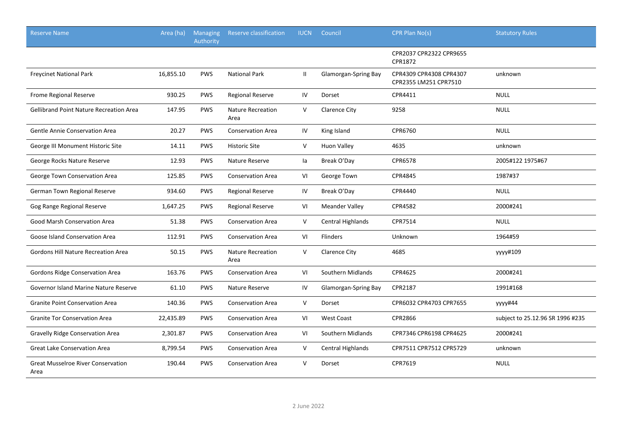| <b>Reserve Name</b>                               | Area (ha) | <b>Managing</b><br>Authority | <b>Reserve classification</b>    | <b>IUCN</b>   | Council                     | CPR Plan No(s)                                   | <b>Statutory Rules</b>           |
|---------------------------------------------------|-----------|------------------------------|----------------------------------|---------------|-----------------------------|--------------------------------------------------|----------------------------------|
|                                                   |           |                              |                                  |               |                             | CPR2037 CPR2322 CPR9655<br>CPR1872               |                                  |
| <b>Freycinet National Park</b>                    | 16,855.10 | <b>PWS</b>                   | <b>National Park</b>             | $\mathbf{II}$ | <b>Glamorgan-Spring Bay</b> | CPR4309 CPR4308 CPR4307<br>CPR2355 LM251 CPR7510 | unknown                          |
| Frome Regional Reserve                            | 930.25    | <b>PWS</b>                   | <b>Regional Reserve</b>          | IV            | Dorset                      | CPR4411                                          | <b>NULL</b>                      |
| <b>Gellibrand Point Nature Recreation Area</b>    | 147.95    | <b>PWS</b>                   | <b>Nature Recreation</b><br>Area | V             | <b>Clarence City</b>        | 9258                                             | <b>NULL</b>                      |
| Gentle Annie Conservation Area                    | 20.27     | <b>PWS</b>                   | <b>Conservation Area</b>         | IV            | King Island                 | CPR6760                                          | <b>NULL</b>                      |
| George III Monument Historic Site                 | 14.11     | <b>PWS</b>                   | <b>Historic Site</b>             | V             | <b>Huon Valley</b>          | 4635                                             | unknown                          |
| George Rocks Nature Reserve                       | 12.93     | <b>PWS</b>                   | Nature Reserve                   | la            | Break O'Day                 | CPR6578                                          | 2005#122 1975#67                 |
| George Town Conservation Area                     | 125.85    | <b>PWS</b>                   | <b>Conservation Area</b>         | VI            | George Town                 | CPR4845                                          | 1987#37                          |
| German Town Regional Reserve                      | 934.60    | <b>PWS</b>                   | <b>Regional Reserve</b>          | IV            | Break O'Day                 | CPR4440                                          | <b>NULL</b>                      |
| Gog Range Regional Reserve                        | 1,647.25  | PWS                          | <b>Regional Reserve</b>          | VI            | <b>Meander Valley</b>       | CPR4582                                          | 2000#241                         |
| Good Marsh Conservation Area                      | 51.38     | <b>PWS</b>                   | <b>Conservation Area</b>         | V             | <b>Central Highlands</b>    | CPR7514                                          | <b>NULL</b>                      |
| Goose Island Conservation Area                    | 112.91    | <b>PWS</b>                   | <b>Conservation Area</b>         | VI            | Flinders                    | Unknown                                          | 1964#59                          |
| Gordons Hill Nature Recreation Area               | 50.15     | <b>PWS</b>                   | <b>Nature Recreation</b><br>Area | V             | <b>Clarence City</b>        | 4685                                             | уууу#109                         |
| Gordons Ridge Conservation Area                   | 163.76    | <b>PWS</b>                   | <b>Conservation Area</b>         | VI            | Southern Midlands           | CPR4625                                          | 2000#241                         |
| Governor Island Marine Nature Reserve             | 61.10     | <b>PWS</b>                   | Nature Reserve                   | IV            | Glamorgan-Spring Bay        | CPR2187                                          | 1991#168                         |
| <b>Granite Point Conservation Area</b>            | 140.36    | <b>PWS</b>                   | <b>Conservation Area</b>         | V             | Dorset                      | CPR6032 CPR4703 CPR7655                          | yyyy#44                          |
| <b>Granite Tor Conservation Area</b>              | 22,435.89 | <b>PWS</b>                   | <b>Conservation Area</b>         | VI            | <b>West Coast</b>           | CPR2866                                          | subject to 25.12.96 SR 1996 #235 |
| <b>Gravelly Ridge Conservation Area</b>           | 2,301.87  | <b>PWS</b>                   | <b>Conservation Area</b>         | VI            | Southern Midlands           | CPR7346 CPR6198 CPR4625                          | 2000#241                         |
| <b>Great Lake Conservation Area</b>               | 8,799.54  | <b>PWS</b>                   | <b>Conservation Area</b>         | V             | Central Highlands           | CPR7511 CPR7512 CPR5729                          | unknown                          |
| <b>Great Musselroe River Conservation</b><br>Area | 190.44    | <b>PWS</b>                   | <b>Conservation Area</b>         | V             | Dorset                      | CPR7619                                          | <b>NULL</b>                      |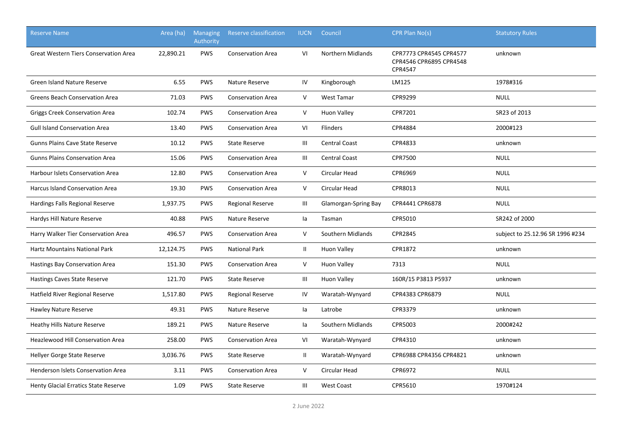| <b>Reserve Name</b>                          | Area (ha) | <b>Managing</b><br>Authority | Reserve classification   | <b>IUCN</b>    | Council              | CPR Plan No(s)                                                       | <b>Statutory Rules</b>           |
|----------------------------------------------|-----------|------------------------------|--------------------------|----------------|----------------------|----------------------------------------------------------------------|----------------------------------|
| <b>Great Western Tiers Conservation Area</b> | 22,890.21 | <b>PWS</b>                   | <b>Conservation Area</b> | VI             | Northern Midlands    | CPR7773 CPR4545 CPR4577<br>CPR4546 CPR6895 CPR4548<br><b>CPR4547</b> | unknown                          |
| <b>Green Island Nature Reserve</b>           | 6.55      | <b>PWS</b>                   | Nature Reserve           | IV             | Kingborough          | LM125                                                                | 1978#316                         |
| <b>Greens Beach Conservation Area</b>        | 71.03     | <b>PWS</b>                   | <b>Conservation Area</b> | $\vee$         | <b>West Tamar</b>    | CPR9299                                                              | <b>NULL</b>                      |
| <b>Griggs Creek Conservation Area</b>        | 102.74    | <b>PWS</b>                   | <b>Conservation Area</b> | V              | <b>Huon Valley</b>   | CPR7201                                                              | SR23 of 2013                     |
| <b>Gull Island Conservation Area</b>         | 13.40     | <b>PWS</b>                   | <b>Conservation Area</b> | VI             | Flinders             | CPR4884                                                              | 2000#123                         |
| <b>Gunns Plains Cave State Reserve</b>       | 10.12     | PWS                          | <b>State Reserve</b>     | $\mathbf{III}$ | <b>Central Coast</b> | CPR4833                                                              | unknown                          |
| <b>Gunns Plains Conservation Area</b>        | 15.06     | <b>PWS</b>                   | <b>Conservation Area</b> | Ш              | <b>Central Coast</b> | <b>CPR7500</b>                                                       | <b>NULL</b>                      |
| Harbour Islets Conservation Area             | 12.80     | <b>PWS</b>                   | <b>Conservation Area</b> | V              | Circular Head        | CPR6969                                                              | <b>NULL</b>                      |
| Harcus Island Conservation Area              | 19.30     | <b>PWS</b>                   | <b>Conservation Area</b> | V              | Circular Head        | CPR8013                                                              | <b>NULL</b>                      |
| Hardings Falls Regional Reserve              | 1,937.75  | <b>PWS</b>                   | <b>Regional Reserve</b>  | Ш              | Glamorgan-Spring Bay | CPR4441 CPR6878                                                      | <b>NULL</b>                      |
| Hardys Hill Nature Reserve                   | 40.88     | <b>PWS</b>                   | Nature Reserve           | la             | Tasman               | CPR5010                                                              | SR242 of 2000                    |
| Harry Walker Tier Conservation Area          | 496.57    | <b>PWS</b>                   | <b>Conservation Area</b> | $\vee$         | Southern Midlands    | CPR2845                                                              | subject to 25.12.96 SR 1996 #234 |
| <b>Hartz Mountains National Park</b>         | 12,124.75 | <b>PWS</b>                   | <b>National Park</b>     | $\mathbf{II}$  | <b>Huon Valley</b>   | CPR1872                                                              | unknown                          |
| Hastings Bay Conservation Area               | 151.30    | <b>PWS</b>                   | <b>Conservation Area</b> | V              | <b>Huon Valley</b>   | 7313                                                                 | <b>NULL</b>                      |
| <b>Hastings Caves State Reserve</b>          | 121.70    | <b>PWS</b>                   | <b>State Reserve</b>     | Ш              | <b>Huon Valley</b>   | 160R/15 P3813 P5937                                                  | unknown                          |
| Hatfield River Regional Reserve              | 1,517.80  | <b>PWS</b>                   | <b>Regional Reserve</b>  | IV             | Waratah-Wynyard      | CPR4383 CPR6879                                                      | <b>NULL</b>                      |
| Hawley Nature Reserve                        | 49.31     | <b>PWS</b>                   | Nature Reserve           | la             | Latrobe              | CPR3379                                                              | unknown                          |
| Heathy Hills Nature Reserve                  | 189.21    | <b>PWS</b>                   | Nature Reserve           | la             | Southern Midlands    | CPR5003                                                              | 2000#242                         |
| Heazlewood Hill Conservation Area            | 258.00    | <b>PWS</b>                   | <b>Conservation Area</b> | VI             | Waratah-Wynyard      | CPR4310                                                              | unknown                          |
| Hellyer Gorge State Reserve                  | 3,036.76  | <b>PWS</b>                   | <b>State Reserve</b>     | П.             | Waratah-Wynyard      | CPR6988 CPR4356 CPR4821                                              | unknown                          |
| Henderson Islets Conservation Area           | 3.11      | <b>PWS</b>                   | <b>Conservation Area</b> | V              | Circular Head        | CPR6972                                                              | <b>NULL</b>                      |
| <b>Henty Glacial Erratics State Reserve</b>  | 1.09      | <b>PWS</b>                   | <b>State Reserve</b>     | Ш              | <b>West Coast</b>    | CPR5610                                                              | 1970#124                         |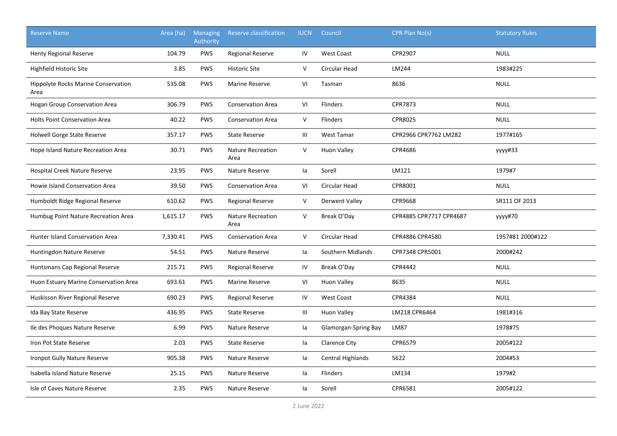| <b>Reserve Name</b>                                | Area (ha) | <b>Managing</b><br>Authority | <b>Reserve classification</b>    | <b>IUCN</b> | Council              | CPR Plan No(s)          | <b>Statutory Rules</b> |
|----------------------------------------------------|-----------|------------------------------|----------------------------------|-------------|----------------------|-------------------------|------------------------|
| <b>Henty Regional Reserve</b>                      | 104.79    | <b>PWS</b>                   | <b>Regional Reserve</b>          | IV          | <b>West Coast</b>    | CPR2907                 | <b>NULL</b>            |
| Highfield Historic Site                            | 3.85      | <b>PWS</b>                   | <b>Historic Site</b>             | V           | Circular Head        | LM244                   | 1983#225               |
| <b>Hippolyte Rocks Marine Conservation</b><br>Area | 535.08    | <b>PWS</b>                   | Marine Reserve                   | VI          | Tasman               | 8636                    | <b>NULL</b>            |
| Hogan Group Conservation Area                      | 306.79    | PWS                          | <b>Conservation Area</b>         | VI          | Flinders             | CPR7873                 | <b>NULL</b>            |
| <b>Holts Point Conservation Area</b>               | 40.22     | <b>PWS</b>                   | <b>Conservation Area</b>         | V           | Flinders             | CPR8025                 | <b>NULL</b>            |
| Holwell Gorge State Reserve                        | 357.17    | <b>PWS</b>                   | <b>State Reserve</b>             | Ш           | <b>West Tamar</b>    | CPR2966 CPR7762 LM282   | 1977#165               |
| Hope Island Nature Recreation Area                 | 30.71     | <b>PWS</b>                   | <b>Nature Recreation</b><br>Area | V           | <b>Huon Valley</b>   | CPR4686                 | yyyy#33                |
| <b>Hospital Creek Nature Reserve</b>               | 23.95     | <b>PWS</b>                   | Nature Reserve                   | la          | Sorell               | LM121                   | 1979#7                 |
| Howie Island Conservation Area                     | 39.50     | <b>PWS</b>                   | <b>Conservation Area</b>         | VI          | Circular Head        | CPR8001                 | <b>NULL</b>            |
| Humboldt Ridge Regional Reserve                    | 610.62    | <b>PWS</b>                   | <b>Regional Reserve</b>          | V           | Derwent Valley       | CPR9668                 | SR111 OF 2013          |
| Humbug Point Nature Recreation Area                | 1,615.17  | <b>PWS</b>                   | <b>Nature Recreation</b><br>Area | V           | Break O'Day          | CPR4885 CPR7717 CPR4687 | yyyy#70                |
| <b>Hunter Island Conservation Area</b>             | 7,330.41  | <b>PWS</b>                   | <b>Conservation Area</b>         | $\mathsf V$ | <b>Circular Head</b> | CPR4886 CPR4580         | 1957#81 2000#122       |
| Huntingdon Nature Reserve                          | 54.51     | PWS                          | Nature Reserve                   | la          | Southern Midlands    | CPR7348 CPR5001         | 2000#242               |
| Huntsmans Cap Regional Reserve                     | 215.71    | <b>PWS</b>                   | Regional Reserve                 | ${\sf IV}$  | Break O'Day          | CPR4442                 | <b>NULL</b>            |
| Huon Estuary Marine Conservation Area              | 693.61    | <b>PWS</b>                   | Marine Reserve                   | VI          | <b>Huon Valley</b>   | 8635                    | <b>NULL</b>            |
| Huskisson River Regional Reserve                   | 690.23    | <b>PWS</b>                   | <b>Regional Reserve</b>          | IV          | <b>West Coast</b>    | CPR4384                 | <b>NULL</b>            |
| Ida Bay State Reserve                              | 436.95    | <b>PWS</b>                   | <b>State Reserve</b>             | Ш           | <b>Huon Valley</b>   | LM218 CPR6464           | 1981#316               |
| Ile des Phoques Nature Reserve                     | 6.99      | <b>PWS</b>                   | Nature Reserve                   | la          | Glamorgan-Spring Bay | <b>LM87</b>             | 1978#75                |
| Iron Pot State Reserve                             | 2.03      | <b>PWS</b>                   | <b>State Reserve</b>             | la          | <b>Clarence City</b> | CPR6579                 | 2005#122               |
| Ironpot Gully Nature Reserve                       | 905.38    | <b>PWS</b>                   | Nature Reserve                   | la          | Central Highlands    | 5622                    | 2004#53                |
| Isabella Island Nature Reserve                     | 25.15     | <b>PWS</b>                   | Nature Reserve                   | la          | Flinders             | LM134                   | 1979#2                 |
| Isle of Caves Nature Reserve                       | 2.35      | <b>PWS</b>                   | Nature Reserve                   | la          | Sorell               | CPR6581                 | 2005#122               |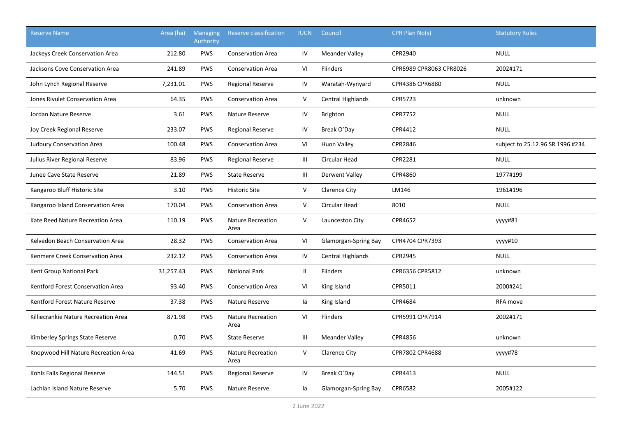| <b>Reserve Name</b>                  | Area (ha) | Managing<br>Authority | Reserve classification           | <b>IUCN</b>                        | Council                  | CPR Plan No(s)          | <b>Statutory Rules</b>           |
|--------------------------------------|-----------|-----------------------|----------------------------------|------------------------------------|--------------------------|-------------------------|----------------------------------|
| Jackeys Creek Conservation Area      | 212.80    | <b>PWS</b>            | <b>Conservation Area</b>         | IV                                 | <b>Meander Valley</b>    | CPR2940                 | <b>NULL</b>                      |
| Jacksons Cove Conservation Area      | 241.89    | <b>PWS</b>            | <b>Conservation Area</b>         | VI                                 | <b>Flinders</b>          | CPR5989 CPR8063 CPR8026 | 2002#171                         |
| John Lynch Regional Reserve          | 7,231.01  | <b>PWS</b>            | Regional Reserve                 | IV                                 | Waratah-Wynyard          | CPR4386 CPR6880         | <b>NULL</b>                      |
| Jones Rivulet Conservation Area      | 64.35     | <b>PWS</b>            | <b>Conservation Area</b>         | V                                  | Central Highlands        | CPR5723                 | unknown                          |
| Jordan Nature Reserve                | 3.61      | <b>PWS</b>            | Nature Reserve                   | IV                                 | <b>Brighton</b>          | <b>CPR7752</b>          | <b>NULL</b>                      |
| Joy Creek Regional Reserve           | 233.07    | <b>PWS</b>            | <b>Regional Reserve</b>          | IV                                 | Break O'Day              | CPR4412                 | <b>NULL</b>                      |
| <b>Judbury Conservation Area</b>     | 100.48    | <b>PWS</b>            | <b>Conservation Area</b>         | VI                                 | Huon Valley              | CPR2846                 | subject to 25.12.96 SR 1996 #234 |
| Julius River Regional Reserve        | 83.96     | PWS                   | Regional Reserve                 | $\ensuremath{\mathsf{III}}\xspace$ | Circular Head            | CPR2281                 | <b>NULL</b>                      |
| Junee Cave State Reserve             | 21.89     | <b>PWS</b>            | <b>State Reserve</b>             | Ш                                  | Derwent Valley           | CPR4860                 | 1977#199                         |
| Kangaroo Bluff Historic Site         | 3.10      | <b>PWS</b>            | <b>Historic Site</b>             | $\mathsf{V}$                       | Clarence City            | LM146                   | 1961#196                         |
| Kangaroo Island Conservation Area    | 170.04    | <b>PWS</b>            | <b>Conservation Area</b>         | V                                  | Circular Head            | 8010                    | <b>NULL</b>                      |
| Kate Reed Nature Recreation Area     | 110.19    | <b>PWS</b>            | <b>Nature Recreation</b><br>Area | $\mathsf{V}$                       | Launceston City          | CPR4652                 | yyyy#81                          |
| Kelvedon Beach Conservation Area     | 28.32     | <b>PWS</b>            | <b>Conservation Area</b>         | VI                                 | Glamorgan-Spring Bay     | CPR4704 CPR7393         | yyyy#10                          |
| Kenmere Creek Conservation Area      | 232.12    | <b>PWS</b>            | <b>Conservation Area</b>         | IV                                 | <b>Central Highlands</b> | CPR2945                 | <b>NULL</b>                      |
| Kent Group National Park             | 31,257.43 | <b>PWS</b>            | <b>National Park</b>             | $\mathbf{H}$                       | <b>Flinders</b>          | CPR6356 CPR5812         | unknown                          |
| Kentford Forest Conservation Area    | 93.40     | <b>PWS</b>            | <b>Conservation Area</b>         | VI                                 | King Island              | CPR5011                 | 2000#241                         |
| Kentford Forest Nature Reserve       | 37.38     | <b>PWS</b>            | Nature Reserve                   | la                                 | King Island              | CPR4684                 | RFA move                         |
| Killiecrankie Nature Recreation Area | 871.98    | <b>PWS</b>            | <b>Nature Recreation</b><br>Area | VI                                 | Flinders                 | CPR5991 CPR7914         | 2002#171                         |
| Kimberley Springs State Reserve      | 0.70      | <b>PWS</b>            | <b>State Reserve</b>             | $\mathbf{III}$                     | <b>Meander Valley</b>    | CPR4856                 | unknown                          |
| Knopwood Hill Nature Recreation Area | 41.69     | <b>PWS</b>            | <b>Nature Recreation</b><br>Area | V                                  | Clarence City            | CPR7802 CPR4688         | уууу#78                          |
| Kohls Falls Regional Reserve         | 144.51    | <b>PWS</b>            | Regional Reserve                 | IV                                 | Break O'Day              | CPR4413                 | <b>NULL</b>                      |
| Lachlan Island Nature Reserve        | 5.70      | <b>PWS</b>            | Nature Reserve                   | la                                 | Glamorgan-Spring Bay     | CPR6582                 | 2005#122                         |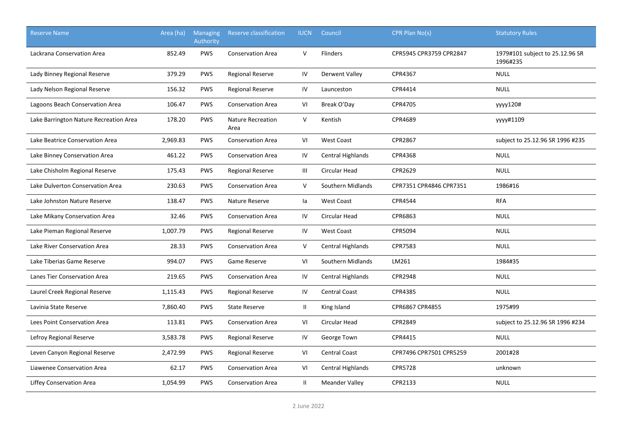| <b>Reserve Name</b>                    | Area (ha) | <b>Managing</b><br>Authority | Reserve classification           | <b>IUCN</b>   | Council                  | CPR Plan No(s)          | <b>Statutory Rules</b>                      |
|----------------------------------------|-----------|------------------------------|----------------------------------|---------------|--------------------------|-------------------------|---------------------------------------------|
| Lackrana Conservation Area             | 852.49    | <b>PWS</b>                   | <b>Conservation Area</b>         | $\vee$        | <b>Flinders</b>          | CPR5945 CPR3759 CPR2847 | 1979#101 subject to 25.12.96 SR<br>1996#235 |
| Lady Binney Regional Reserve           | 379.29    | <b>PWS</b>                   | <b>Regional Reserve</b>          | IV            | Derwent Valley           | CPR4367                 | <b>NULL</b>                                 |
| Lady Nelson Regional Reserve           | 156.32    | <b>PWS</b>                   | <b>Regional Reserve</b>          | IV            | Launceston               | CPR4414                 | <b>NULL</b>                                 |
| Lagoons Beach Conservation Area        | 106.47    | <b>PWS</b>                   | <b>Conservation Area</b>         | VI            | Break O'Day              | CPR4705                 | yyyy120#                                    |
| Lake Barrington Nature Recreation Area | 178.20    | <b>PWS</b>                   | <b>Nature Recreation</b><br>Area | $\vee$        | Kentish                  | CPR4689                 | vyyy#1109                                   |
| Lake Beatrice Conservation Area        | 2,969.83  | <b>PWS</b>                   | <b>Conservation Area</b>         | VI            | <b>West Coast</b>        | CPR2867                 | subject to 25.12.96 SR 1996 #235            |
| Lake Binney Conservation Area          | 461.22    | <b>PWS</b>                   | <b>Conservation Area</b>         | IV            | Central Highlands        | CPR4368                 | <b>NULL</b>                                 |
| Lake Chisholm Regional Reserve         | 175.43    | <b>PWS</b>                   | <b>Regional Reserve</b>          | Ш             | Circular Head            | CPR2629                 | <b>NULL</b>                                 |
| Lake Dulverton Conservation Area       | 230.63    | <b>PWS</b>                   | <b>Conservation Area</b>         | V             | Southern Midlands        | CPR7351 CPR4846 CPR7351 | 1986#16                                     |
| Lake Johnston Nature Reserve           | 138.47    | <b>PWS</b>                   | Nature Reserve                   | la            | <b>West Coast</b>        | CPR4544                 | <b>RFA</b>                                  |
| Lake Mikany Conservation Area          | 32.46     | <b>PWS</b>                   | <b>Conservation Area</b>         | IV            | Circular Head            | CPR6863                 | <b>NULL</b>                                 |
| Lake Pieman Regional Reserve           | 1,007.79  | <b>PWS</b>                   | <b>Regional Reserve</b>          | IV            | <b>West Coast</b>        | CPR5094                 | <b>NULL</b>                                 |
| Lake River Conservation Area           | 28.33     | <b>PWS</b>                   | <b>Conservation Area</b>         | V             | <b>Central Highlands</b> | CPR7583                 | <b>NULL</b>                                 |
| Lake Tiberias Game Reserve             | 994.07    | <b>PWS</b>                   | Game Reserve                     | VI            | Southern Midlands        | LM261                   | 1984#35                                     |
| Lanes Tier Conservation Area           | 219.65    | <b>PWS</b>                   | <b>Conservation Area</b>         | IV            | Central Highlands        | <b>CPR2948</b>          | <b>NULL</b>                                 |
| Laurel Creek Regional Reserve          | 1,115.43  | <b>PWS</b>                   | <b>Regional Reserve</b>          | IV            | <b>Central Coast</b>     | CPR4385                 | <b>NULL</b>                                 |
| Lavinia State Reserve                  | 7,860.40  | <b>PWS</b>                   | <b>State Reserve</b>             | $\mathbf{H}$  | King Island              | CPR6867 CPR4855         | 1975#99                                     |
| Lees Point Conservation Area           | 113.81    | <b>PWS</b>                   | <b>Conservation Area</b>         | VI            | Circular Head            | CPR2849                 | subject to 25.12.96 SR 1996 #234            |
| Lefroy Regional Reserve                | 3,583.78  | <b>PWS</b>                   | <b>Regional Reserve</b>          | IV            | George Town              | CPR4415                 | <b>NULL</b>                                 |
| Leven Canyon Regional Reserve          | 2,472.99  | <b>PWS</b>                   | <b>Regional Reserve</b>          | VI            | <b>Central Coast</b>     | CPR7496 CPR7501 CPR5259 | 2001#28                                     |
| Liawenee Conservation Area             | 62.17     | <b>PWS</b>                   | <b>Conservation Area</b>         | VI            | Central Highlands        | <b>CPR5728</b>          | unknown                                     |
| <b>Liffey Conservation Area</b>        | 1,054.99  | <b>PWS</b>                   | <b>Conservation Area</b>         | $\mathbf{II}$ | <b>Meander Valley</b>    | CPR2133                 | <b>NULL</b>                                 |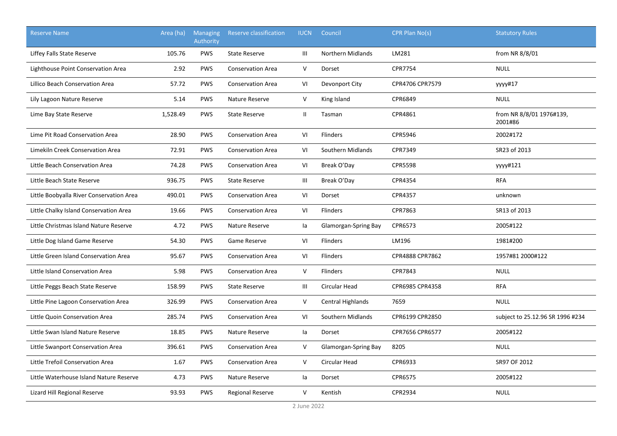| <b>Reserve Name</b>                      | Area (ha) | <b>Managing</b><br>Authority | Reserve classification   | <b>IUCN</b>   | Council                  | CPR Plan No(s)  | <b>Statutory Rules</b>              |
|------------------------------------------|-----------|------------------------------|--------------------------|---------------|--------------------------|-----------------|-------------------------------------|
| Liffey Falls State Reserve               | 105.76    | <b>PWS</b>                   | <b>State Reserve</b>     | Ш             | <b>Northern Midlands</b> | LM281           | from NR 8/8/01                      |
| Lighthouse Point Conservation Area       | 2.92      | <b>PWS</b>                   | <b>Conservation Area</b> | V             | Dorset                   | <b>CPR7754</b>  | <b>NULL</b>                         |
| Lillico Beach Conservation Area          | 57.72     | <b>PWS</b>                   | <b>Conservation Area</b> | VI            | Devonport City           | CPR4706 CPR7579 | yyyy#17                             |
| Lily Lagoon Nature Reserve               | 5.14      | <b>PWS</b>                   | Nature Reserve           | V             | King Island              | CPR6849         | <b>NULL</b>                         |
| Lime Bay State Reserve                   | 1,528.49  | <b>PWS</b>                   | <b>State Reserve</b>     | $\mathbf{II}$ | Tasman                   | CPR4861         | from NR 8/8/01 1976#139,<br>2001#86 |
| Lime Pit Road Conservation Area          | 28.90     | <b>PWS</b>                   | <b>Conservation Area</b> | VI            | Flinders                 | CPR5946         | 2002#172                            |
| Limekiln Creek Conservation Area         | 72.91     | <b>PWS</b>                   | <b>Conservation Area</b> | VI            | Southern Midlands        | CPR7349         | SR23 of 2013                        |
| Little Beach Conservation Area           | 74.28     | <b>PWS</b>                   | <b>Conservation Area</b> | VI            | Break O'Day              | <b>CPR5598</b>  | уууу#121                            |
| Little Beach State Reserve               | 936.75    | <b>PWS</b>                   | <b>State Reserve</b>     | Ш             | Break O'Day              | CPR4354         | <b>RFA</b>                          |
| Little Boobyalla River Conservation Area | 490.01    | <b>PWS</b>                   | <b>Conservation Area</b> | VI            | Dorset                   | CPR4357         | unknown                             |
| Little Chalky Island Conservation Area   | 19.66     | <b>PWS</b>                   | <b>Conservation Area</b> | VI            | <b>Flinders</b>          | CPR7863         | SR13 of 2013                        |
| Little Christmas Island Nature Reserve   | 4.72      | <b>PWS</b>                   | Nature Reserve           | la            | Glamorgan-Spring Bay     | CPR6573         | 2005#122                            |
| Little Dog Island Game Reserve           | 54.30     | <b>PWS</b>                   | Game Reserve             | VI            | <b>Flinders</b>          | LM196           | 1981#200                            |
| Little Green Island Conservation Area    | 95.67     | <b>PWS</b>                   | <b>Conservation Area</b> | VI            | <b>Flinders</b>          | CPR4888 CPR7862 | 1957#81 2000#122                    |
| Little Island Conservation Area          | 5.98      | <b>PWS</b>                   | <b>Conservation Area</b> | V             | Flinders                 | CPR7843         | <b>NULL</b>                         |
| Little Peggs Beach State Reserve         | 158.99    | <b>PWS</b>                   | <b>State Reserve</b>     | Ш             | Circular Head            | CPR6985 CPR4358 | <b>RFA</b>                          |
| Little Pine Lagoon Conservation Area     | 326.99    | <b>PWS</b>                   | <b>Conservation Area</b> | V             | Central Highlands        | 7659            | <b>NULL</b>                         |
| Little Quoin Conservation Area           | 285.74    | <b>PWS</b>                   | <b>Conservation Area</b> | VI            | Southern Midlands        | CPR6199 CPR2850 | subject to 25.12.96 SR 1996 #234    |
| Little Swan Island Nature Reserve        | 18.85     | <b>PWS</b>                   | Nature Reserve           | la            | Dorset                   | CPR7656 CPR6577 | 2005#122                            |
| Little Swanport Conservation Area        | 396.61    | <b>PWS</b>                   | <b>Conservation Area</b> | V             | Glamorgan-Spring Bay     | 8205            | <b>NULL</b>                         |
| Little Trefoil Conservation Area         | 1.67      | <b>PWS</b>                   | <b>Conservation Area</b> | V             | Circular Head            | CPR6933         | SR97 OF 2012                        |
| Little Waterhouse Island Nature Reserve  | 4.73      | <b>PWS</b>                   | Nature Reserve           | la            | Dorset                   | CPR6575         | 2005#122                            |
| Lizard Hill Regional Reserve             | 93.93     | <b>PWS</b>                   | <b>Regional Reserve</b>  | V             | Kentish                  | CPR2934         | <b>NULL</b>                         |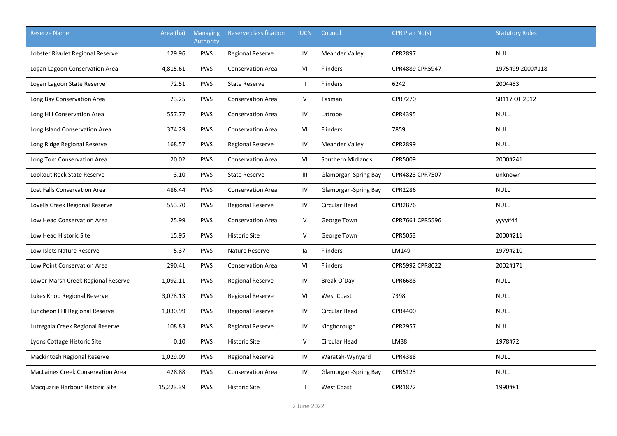| <b>Reserve Name</b>                      | Area (ha) | Managing<br><b>Authority</b> | Reserve classification   | <b>IUCN</b>  | Council               | CPR Plan No(s)  | <b>Statutory Rules</b> |
|------------------------------------------|-----------|------------------------------|--------------------------|--------------|-----------------------|-----------------|------------------------|
| Lobster Rivulet Regional Reserve         | 129.96    | <b>PWS</b>                   | <b>Regional Reserve</b>  | IV           | <b>Meander Valley</b> | CPR2897         | <b>NULL</b>            |
| Logan Lagoon Conservation Area           | 4,815.61  | <b>PWS</b>                   | <b>Conservation Area</b> | VI           | <b>Flinders</b>       | CPR4889 CPR5947 | 1975#99 2000#118       |
| Logan Lagoon State Reserve               | 72.51     | <b>PWS</b>                   | <b>State Reserve</b>     | Ш            | Flinders              | 6242            | 2004#53                |
| Long Bay Conservation Area               | 23.25     | <b>PWS</b>                   | <b>Conservation Area</b> | $\mathsf{V}$ | Tasman                | <b>CPR7270</b>  | SR117 OF 2012          |
| Long Hill Conservation Area              | 557.77    | <b>PWS</b>                   | <b>Conservation Area</b> | IV           | Latrobe               | CPR4395         | <b>NULL</b>            |
| Long Island Conservation Area            | 374.29    | <b>PWS</b>                   | <b>Conservation Area</b> | VI           | <b>Flinders</b>       | 7859            | <b>NULL</b>            |
| Long Ridge Regional Reserve              | 168.57    | <b>PWS</b>                   | Regional Reserve         | IV           | <b>Meander Valley</b> | CPR2899         | <b>NULL</b>            |
| Long Tom Conservation Area               | 20.02     | <b>PWS</b>                   | Conservation Area        | VI           | Southern Midlands     | CPR5009         | 2000#241               |
| Lookout Rock State Reserve               | 3.10      | <b>PWS</b>                   | <b>State Reserve</b>     | Ш            | Glamorgan-Spring Bay  | CPR4823 CPR7507 | unknown                |
| Lost Falls Conservation Area             | 486.44    | <b>PWS</b>                   | <b>Conservation Area</b> | IV           | Glamorgan-Spring Bay  | CPR2286         | <b>NULL</b>            |
| Lovells Creek Regional Reserve           | 553.70    | <b>PWS</b>                   | <b>Regional Reserve</b>  | IV           | Circular Head         | CPR2876         | <b>NULL</b>            |
| Low Head Conservation Area               | 25.99     | <b>PWS</b>                   | <b>Conservation Area</b> | $\mathsf{V}$ | George Town           | CPR7661 CPR5596 | уууу#44                |
| Low Head Historic Site                   | 15.95     | <b>PWS</b>                   | <b>Historic Site</b>     | $\vee$       | George Town           | CPR5053         | 2000#211               |
| Low Islets Nature Reserve                | 5.37      | <b>PWS</b>                   | Nature Reserve           | la           | <b>Flinders</b>       | LM149           | 1979#210               |
| Low Point Conservation Area              | 290.41    | <b>PWS</b>                   | <b>Conservation Area</b> | VI           | <b>Flinders</b>       | CPR5992 CPR8022 | 2002#171               |
| Lower Marsh Creek Regional Reserve       | 1,092.11  | <b>PWS</b>                   | <b>Regional Reserve</b>  | IV           | Break O'Day           | CPR6688         | <b>NULL</b>            |
| Lukes Knob Regional Reserve              | 3,078.13  | <b>PWS</b>                   | <b>Regional Reserve</b>  | VI           | <b>West Coast</b>     | 7398            | <b>NULL</b>            |
| Luncheon Hill Regional Reserve           | 1,030.99  | <b>PWS</b>                   | Regional Reserve         | IV           | Circular Head         | CPR4400         | <b>NULL</b>            |
| Lutregala Creek Regional Reserve         | 108.83    | <b>PWS</b>                   | Regional Reserve         | IV           | Kingborough           | CPR2957         | <b>NULL</b>            |
| Lyons Cottage Historic Site              | 0.10      | <b>PWS</b>                   | <b>Historic Site</b>     | $\vee$       | Circular Head         | LM38            | 1978#72                |
| Mackintosh Regional Reserve              | 1,029.09  | <b>PWS</b>                   | <b>Regional Reserve</b>  | IV           | Waratah-Wynyard       | CPR4388         | <b>NULL</b>            |
| <b>MacLaines Creek Conservation Area</b> | 428.88    | <b>PWS</b>                   | <b>Conservation Area</b> | IV           | Glamorgan-Spring Bay  | CPR5123         | <b>NULL</b>            |
| Macquarie Harbour Historic Site          | 15,223.39 | <b>PWS</b>                   | <b>Historic Site</b>     | $\mathbf{I}$ | <b>West Coast</b>     | CPR1872         | 1990#81                |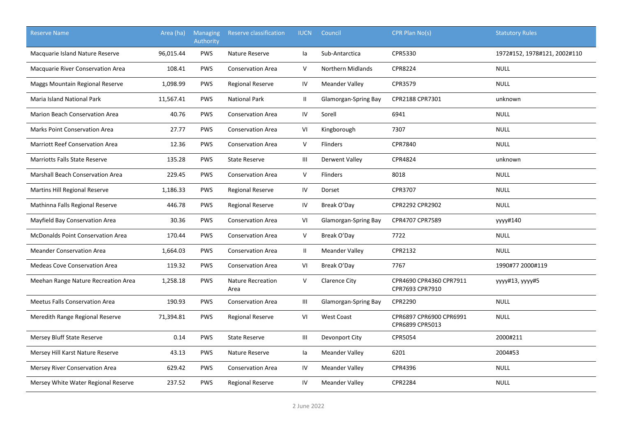| <b>Reserve Name</b>                      | Area (ha) | <b>Managing</b><br>Authority | Reserve classification           | <b>IUCN</b>    | Council               | CPR Plan No(s)                             | <b>Statutory Rules</b>       |
|------------------------------------------|-----------|------------------------------|----------------------------------|----------------|-----------------------|--------------------------------------------|------------------------------|
| Macquarie Island Nature Reserve          | 96,015.44 | <b>PWS</b>                   | Nature Reserve                   | la             | Sub-Antarctica        | CPR5330                                    | 1972#152, 1978#121, 2002#110 |
| <b>Macquarie River Conservation Area</b> | 108.41    | <b>PWS</b>                   | <b>Conservation Area</b>         | V              | Northern Midlands     | <b>CPR8224</b>                             | <b>NULL</b>                  |
| Maggs Mountain Regional Reserve          | 1,098.99  | <b>PWS</b>                   | <b>Regional Reserve</b>          | IV             | <b>Meander Valley</b> | CPR3579                                    | <b>NULL</b>                  |
| <b>Maria Island National Park</b>        | 11,567.41 | <b>PWS</b>                   | <b>National Park</b>             | Ш.             | Glamorgan-Spring Bay  | CPR2188 CPR7301                            | unknown                      |
| <b>Marion Beach Conservation Area</b>    | 40.76     | <b>PWS</b>                   | <b>Conservation Area</b>         | IV             | Sorell                | 6941                                       | <b>NULL</b>                  |
| <b>Marks Point Conservation Area</b>     | 27.77     | <b>PWS</b>                   | <b>Conservation Area</b>         | VI             | Kingborough           | 7307                                       | <b>NULL</b>                  |
| <b>Marriott Reef Conservation Area</b>   | 12.36     | <b>PWS</b>                   | <b>Conservation Area</b>         | V              | Flinders              | CPR7840                                    | <b>NULL</b>                  |
| Marriotts Falls State Reserve            | 135.28    | <b>PWS</b>                   | <b>State Reserve</b>             | Ш              | Derwent Valley        | CPR4824                                    | unknown                      |
| Marshall Beach Conservation Area         | 229.45    | <b>PWS</b>                   | <b>Conservation Area</b>         | $\mathsf{V}$   | Flinders              | 8018                                       | <b>NULL</b>                  |
| Martins Hill Regional Reserve            | 1,186.33  | <b>PWS</b>                   | <b>Regional Reserve</b>          | IV             | Dorset                | CPR3707                                    | <b>NULL</b>                  |
| Mathinna Falls Regional Reserve          | 446.78    | PWS                          | <b>Regional Reserve</b>          | IV             | Break O'Day           | CPR2292 CPR2902                            | <b>NULL</b>                  |
| Mayfield Bay Conservation Area           | 30.36     | <b>PWS</b>                   | <b>Conservation Area</b>         | VI             | Glamorgan-Spring Bay  | CPR4707 CPR7589                            | уууу#140                     |
| <b>McDonalds Point Conservation Area</b> | 170.44    | <b>PWS</b>                   | <b>Conservation Area</b>         | V              | Break O'Day           | 7722                                       | <b>NULL</b>                  |
| <b>Meander Conservation Area</b>         | 1,664.03  | <b>PWS</b>                   | <b>Conservation Area</b>         | Ш.             | <b>Meander Valley</b> | CPR2132                                    | <b>NULL</b>                  |
| <b>Medeas Cove Conservation Area</b>     | 119.32    | <b>PWS</b>                   | <b>Conservation Area</b>         | VI             | Break O'Day           | 7767                                       | 1990#77 2000#119             |
| Meehan Range Nature Recreation Area      | 1,258.18  | <b>PWS</b>                   | <b>Nature Recreation</b><br>Area | $\mathsf{V}$   | <b>Clarence City</b>  | CPR4690 CPR4360 CPR7911<br>CPR7693 CPR7910 | уууу#13, уууу#5              |
| <b>Meetus Falls Conservation Area</b>    | 190.93    | <b>PWS</b>                   | <b>Conservation Area</b>         | $\mathbf{III}$ | Glamorgan-Spring Bay  | CPR2290                                    | <b>NULL</b>                  |
| Meredith Range Regional Reserve          | 71,394.81 | <b>PWS</b>                   | <b>Regional Reserve</b>          | VI             | <b>West Coast</b>     | CPR6897 CPR6900 CPR6991<br>CPR6899 CPR5013 | <b>NULL</b>                  |
| Mersey Bluff State Reserve               | 0.14      | <b>PWS</b>                   | <b>State Reserve</b>             | Ш              | Devonport City        | CPR5054                                    | 2000#211                     |
| Mersey Hill Karst Nature Reserve         | 43.13     | <b>PWS</b>                   | Nature Reserve                   | la             | <b>Meander Valley</b> | 6201                                       | 2004#53                      |
| <b>Mersey River Conservation Area</b>    | 629.42    | <b>PWS</b>                   | <b>Conservation Area</b>         | IV             | <b>Meander Valley</b> | CPR4396                                    | <b>NULL</b>                  |
| Mersey White Water Regional Reserve      | 237.52    | <b>PWS</b>                   | <b>Regional Reserve</b>          | IV             | <b>Meander Valley</b> | <b>CPR2284</b>                             | <b>NULL</b>                  |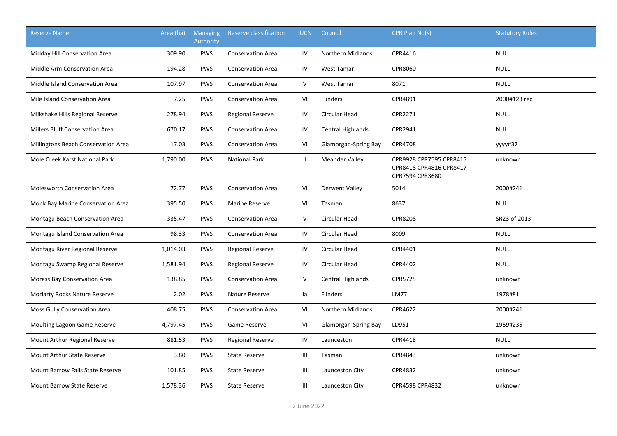| <b>Reserve Name</b>                    | Area (ha) | <b>Managing</b><br><b>Authority</b> | Reserve classification   | <b>IUCN</b>    | Council                  | CPR Plan No(s)                                                        | <b>Statutory Rules</b> |
|----------------------------------------|-----------|-------------------------------------|--------------------------|----------------|--------------------------|-----------------------------------------------------------------------|------------------------|
| Midday Hill Conservation Area          | 309.90    | <b>PWS</b>                          | <b>Conservation Area</b> | IV             | <b>Northern Midlands</b> | CPR4416                                                               | <b>NULL</b>            |
| Middle Arm Conservation Area           | 194.28    | <b>PWS</b>                          | <b>Conservation Area</b> | IV             | <b>West Tamar</b>        | CPR8060                                                               | <b>NULL</b>            |
| Middle Island Conservation Area        | 107.97    | <b>PWS</b>                          | <b>Conservation Area</b> | V              | <b>West Tamar</b>        | 8071                                                                  | <b>NULL</b>            |
| Mile Island Conservation Area          | 7.25      | <b>PWS</b>                          | <b>Conservation Area</b> | V <sub>l</sub> | <b>Flinders</b>          | CPR4891                                                               | 2000#123 rec           |
| Milkshake Hills Regional Reserve       | 278.94    | <b>PWS</b>                          | <b>Regional Reserve</b>  | IV             | Circular Head            | CPR2271                                                               | <b>NULL</b>            |
| <b>Millers Bluff Conservation Area</b> | 670.17    | <b>PWS</b>                          | <b>Conservation Area</b> | IV             | Central Highlands        | CPR2941                                                               | <b>NULL</b>            |
| Millingtons Beach Conservation Area    | 17.03     | <b>PWS</b>                          | <b>Conservation Area</b> | VI             | Glamorgan-Spring Bay     | <b>CPR4708</b>                                                        | уууу#37                |
| Mole Creek Karst National Park         | 1,790.00  | <b>PWS</b>                          | <b>National Park</b>     | Ш              | <b>Meander Valley</b>    | CPR9928 CPR7595 CPR8415<br>CPR8418 CPR4816 CPR8417<br>CPR7594 CPR3680 | unknown                |
| <b>Molesworth Conservation Area</b>    | 72.77     | <b>PWS</b>                          | <b>Conservation Area</b> | VI             | Derwent Valley           | 5014                                                                  | 2000#241               |
| Monk Bay Marine Conservation Area      | 395.50    | <b>PWS</b>                          | <b>Marine Reserve</b>    | VI             | Tasman                   | 8637                                                                  | <b>NULL</b>            |
| Montagu Beach Conservation Area        | 335.47    | <b>PWS</b>                          | <b>Conservation Area</b> | $\mathsf{V}$   | Circular Head            | <b>CPR8208</b>                                                        | SR23 of 2013           |
| Montagu Island Conservation Area       | 98.33     | <b>PWS</b>                          | <b>Conservation Area</b> | IV             | Circular Head            | 8009                                                                  | <b>NULL</b>            |
| Montagu River Regional Reserve         | 1,014.03  | <b>PWS</b>                          | <b>Regional Reserve</b>  | IV             | Circular Head            | CPR4401                                                               | <b>NULL</b>            |
| Montagu Swamp Regional Reserve         | 1,581.94  | <b>PWS</b>                          | <b>Regional Reserve</b>  | IV             | Circular Head            | CPR4402                                                               | <b>NULL</b>            |
| Morass Bay Conservation Area           | 138.85    | <b>PWS</b>                          | <b>Conservation Area</b> | V              | <b>Central Highlands</b> | CPR5725                                                               | unknown                |
| <b>Moriarty Rocks Nature Reserve</b>   | 2.02      | <b>PWS</b>                          | Nature Reserve           | la             | Flinders                 | <b>LM77</b>                                                           | 1978#81                |
| Moss Gully Conservation Area           | 408.75    | <b>PWS</b>                          | <b>Conservation Area</b> | VI             | <b>Northern Midlands</b> | CPR4622                                                               | 2000#241               |
| Moulting Lagoon Game Reserve           | 4,797.45  | PWS                                 | Game Reserve             | VI             | Glamorgan-Spring Bay     | LD951                                                                 | 1959#235               |
| Mount Arthur Regional Reserve          | 881.53    | <b>PWS</b>                          | <b>Regional Reserve</b>  | IV             | Launceston               | CPR4418                                                               | <b>NULL</b>            |
| <b>Mount Arthur State Reserve</b>      | 3.80      | <b>PWS</b>                          | <b>State Reserve</b>     | Ш              | Tasman                   | CPR4843                                                               | unknown                |
| Mount Barrow Falls State Reserve       | 101.85    | <b>PWS</b>                          | <b>State Reserve</b>     | Ш              | Launceston City          | CPR4832                                                               | unknown                |
| <b>Mount Barrow State Reserve</b>      | 1,578.36  | <b>PWS</b>                          | <b>State Reserve</b>     | Ш              | Launceston City          | CPR4598 CPR4832                                                       | unknown                |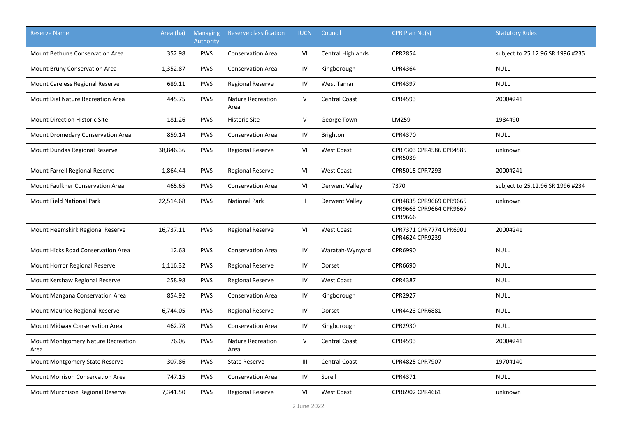| <b>Reserve Name</b>                        | Area (ha) | <b>Managing</b><br>Authority | <b>Reserve classification</b>    | <b>IUCN</b>  | Council                  | CPR Plan No(s)                                                | <b>Statutory Rules</b>           |
|--------------------------------------------|-----------|------------------------------|----------------------------------|--------------|--------------------------|---------------------------------------------------------------|----------------------------------|
| <b>Mount Bethune Conservation Area</b>     | 352.98    | <b>PWS</b>                   | <b>Conservation Area</b>         | VI           | <b>Central Highlands</b> | CPR2854                                                       | subject to 25.12.96 SR 1996 #235 |
| Mount Bruny Conservation Area              | 1,352.87  | <b>PWS</b>                   | <b>Conservation Area</b>         | IV           | Kingborough              | CPR4364                                                       | <b>NULL</b>                      |
| Mount Careless Regional Reserve            | 689.11    | <b>PWS</b>                   | <b>Regional Reserve</b>          | IV           | West Tamar               | CPR4397                                                       | <b>NULL</b>                      |
| Mount Dial Nature Recreation Area          | 445.75    | <b>PWS</b>                   | <b>Nature Recreation</b><br>Area | V            | <b>Central Coast</b>     | CPR4593                                                       | 2000#241                         |
| <b>Mount Direction Historic Site</b>       | 181.26    | <b>PWS</b>                   | <b>Historic Site</b>             | $\mathsf{V}$ | George Town              | LM259                                                         | 1984#90                          |
| Mount Dromedary Conservation Area          | 859.14    | PWS                          | <b>Conservation Area</b>         | IV           | Brighton                 | CPR4370                                                       | <b>NULL</b>                      |
| Mount Dundas Regional Reserve              | 38,846.36 | PWS                          | <b>Regional Reserve</b>          | VI           | <b>West Coast</b>        | CPR7303 CPR4586 CPR4585<br>CPR5039                            | unknown                          |
| Mount Farrell Regional Reserve             | 1,864.44  | <b>PWS</b>                   | <b>Regional Reserve</b>          | VI           | <b>West Coast</b>        | CPR5015 CPR7293                                               | 2000#241                         |
| <b>Mount Faulkner Conservation Area</b>    | 465.65    | <b>PWS</b>                   | <b>Conservation Area</b>         | VI           | Derwent Valley           | 7370                                                          | subject to 25.12.96 SR 1996 #234 |
| Mount Field National Park                  | 22,514.68 | <b>PWS</b>                   | <b>National Park</b>             | Ш.           | Derwent Valley           | CPR4835 CPR9669 CPR9665<br>CPR9663 CPR9664 CPR9667<br>CPR9666 | unknown                          |
| Mount Heemskirk Regional Reserve           | 16,737.11 | <b>PWS</b>                   | <b>Regional Reserve</b>          | VI           | <b>West Coast</b>        | CPR7371 CPR7774 CPR6901<br>CPR4624 CPR9239                    | 2000#241                         |
| Mount Hicks Road Conservation Area         | 12.63     | <b>PWS</b>                   | <b>Conservation Area</b>         | ${\sf IV}$   | Waratah-Wynyard          | CPR6990                                                       | <b>NULL</b>                      |
| Mount Horror Regional Reserve              | 1,116.32  | <b>PWS</b>                   | <b>Regional Reserve</b>          | IV           | Dorset                   | CPR6690                                                       | <b>NULL</b>                      |
| Mount Kershaw Regional Reserve             | 258.98    | PWS                          | <b>Regional Reserve</b>          | IV           | <b>West Coast</b>        | CPR4387                                                       | <b>NULL</b>                      |
| Mount Mangana Conservation Area            | 854.92    | PWS                          | <b>Conservation Area</b>         | IV           | Kingborough              | CPR2927                                                       | <b>NULL</b>                      |
| Mount Maurice Regional Reserve             | 6,744.05  | PWS                          | <b>Regional Reserve</b>          | IV           | Dorset                   | CPR4423 CPR6881                                               | <b>NULL</b>                      |
| Mount Midway Conservation Area             | 462.78    | <b>PWS</b>                   | <b>Conservation Area</b>         | IV           | Kingborough              | CPR2930                                                       | <b>NULL</b>                      |
| Mount Montgomery Nature Recreation<br>Area | 76.06     | <b>PWS</b>                   | Nature Recreation<br>Area        | V            | <b>Central Coast</b>     | CPR4593                                                       | 2000#241                         |
| Mount Montgomery State Reserve             | 307.86    | <b>PWS</b>                   | <b>State Reserve</b>             | Ш            | <b>Central Coast</b>     | CPR4825 CPR7907                                               | 1970#140                         |
| <b>Mount Morrison Conservation Area</b>    | 747.15    | <b>PWS</b>                   | <b>Conservation Area</b>         | IV           | Sorell                   | CPR4371                                                       | <b>NULL</b>                      |
| Mount Murchison Regional Reserve           | 7,341.50  | <b>PWS</b>                   | <b>Regional Reserve</b>          | VI           | <b>West Coast</b>        | CPR6902 CPR4661                                               | unknown                          |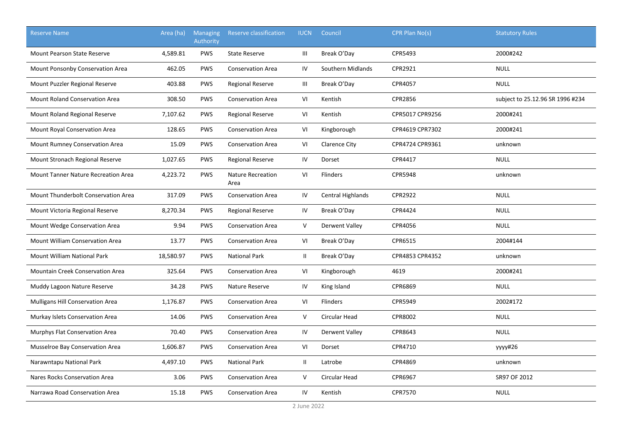| <b>Reserve Name</b>                     | Area (ha) | <b>Managing</b><br>Authority | Reserve classification           | <b>IUCN</b>   | Council                  | CPR Plan No(s)  | <b>Statutory Rules</b>           |
|-----------------------------------------|-----------|------------------------------|----------------------------------|---------------|--------------------------|-----------------|----------------------------------|
| <b>Mount Pearson State Reserve</b>      | 4,589.81  | <b>PWS</b>                   | <b>State Reserve</b>             | Ш             | Break O'Day              | CPR5493         | 2000#242                         |
| Mount Ponsonby Conservation Area        | 462.05    | <b>PWS</b>                   | <b>Conservation Area</b>         | IV            | Southern Midlands        | CPR2921         | <b>NULL</b>                      |
| Mount Puzzler Regional Reserve          | 403.88    | <b>PWS</b>                   | <b>Regional Reserve</b>          | Ш             | Break O'Day              | CPR4057         | <b>NULL</b>                      |
| <b>Mount Roland Conservation Area</b>   | 308.50    | PWS                          | <b>Conservation Area</b>         | VI            | Kentish                  | CPR2856         | subject to 25.12.96 SR 1996 #234 |
| Mount Roland Regional Reserve           | 7,107.62  | PWS                          | <b>Regional Reserve</b>          | VI            | Kentish                  | CPR5017 CPR9256 | 2000#241                         |
| Mount Royal Conservation Area           | 128.65    | PWS                          | <b>Conservation Area</b>         | VI            | Kingborough              | CPR4619 CPR7302 | 2000#241                         |
| Mount Rumney Conservation Area          | 15.09     | PWS                          | <b>Conservation Area</b>         | VI            | <b>Clarence City</b>     | CPR4724 CPR9361 | unknown                          |
| Mount Stronach Regional Reserve         | 1,027.65  | <b>PWS</b>                   | <b>Regional Reserve</b>          | IV            | Dorset                   | CPR4417         | <b>NULL</b>                      |
| Mount Tanner Nature Recreation Area     | 4,223.72  | <b>PWS</b>                   | <b>Nature Recreation</b><br>Area | VI            | Flinders                 | <b>CPR5948</b>  | unknown                          |
| Mount Thunderbolt Conservation Area     | 317.09    | <b>PWS</b>                   | <b>Conservation Area</b>         | IV            | <b>Central Highlands</b> | CPR2922         | <b>NULL</b>                      |
| Mount Victoria Regional Reserve         | 8,270.34  | PWS                          | <b>Regional Reserve</b>          | IV            | Break O'Day              | CPR4424         | <b>NULL</b>                      |
| Mount Wedge Conservation Area           | 9.94      | <b>PWS</b>                   | <b>Conservation Area</b>         | V             | Derwent Valley           | CPR4056         | <b>NULL</b>                      |
| Mount William Conservation Area         | 13.77     | <b>PWS</b>                   | <b>Conservation Area</b>         | VI            | Break O'Day              | CPR6515         | 2004#144                         |
| <b>Mount William National Park</b>      | 18,580.97 | <b>PWS</b>                   | <b>National Park</b>             | $\mathbf{II}$ | Break O'Day              | CPR4853 CPR4352 | unknown                          |
| <b>Mountain Creek Conservation Area</b> | 325.64    | <b>PWS</b>                   | <b>Conservation Area</b>         | VI            | Kingborough              | 4619            | 2000#241                         |
| Muddy Lagoon Nature Reserve             | 34.28     | <b>PWS</b>                   | Nature Reserve                   | IV            | King Island              | CPR6869         | <b>NULL</b>                      |
| <b>Mulligans Hill Conservation Area</b> | 1,176.87  | <b>PWS</b>                   | <b>Conservation Area</b>         | VI            | <b>Flinders</b>          | <b>CPR5949</b>  | 2002#172                         |
| Murkay Islets Conservation Area         | 14.06     | <b>PWS</b>                   | <b>Conservation Area</b>         | $\vee$        | <b>Circular Head</b>     | CPR8002         | <b>NULL</b>                      |
| Murphys Flat Conservation Area          | 70.40     | <b>PWS</b>                   | <b>Conservation Area</b>         | IV            | Derwent Valley           | CPR8643         | <b>NULL</b>                      |
| Musselroe Bay Conservation Area         | 1,606.87  | <b>PWS</b>                   | <b>Conservation Area</b>         | VI            | Dorset                   | CPR4710         | уууу#26                          |
| Narawntapu National Park                | 4,497.10  | <b>PWS</b>                   | <b>National Park</b>             | Ш.            | Latrobe                  | CPR4869         | unknown                          |
| Nares Rocks Conservation Area           | 3.06      | <b>PWS</b>                   | <b>Conservation Area</b>         | V             | Circular Head            | CPR6967         | SR97 OF 2012                     |
| Narrawa Road Conservation Area          | 15.18     | <b>PWS</b>                   | <b>Conservation Area</b>         | IV            | Kentish                  | CPR7570         | <b>NULL</b>                      |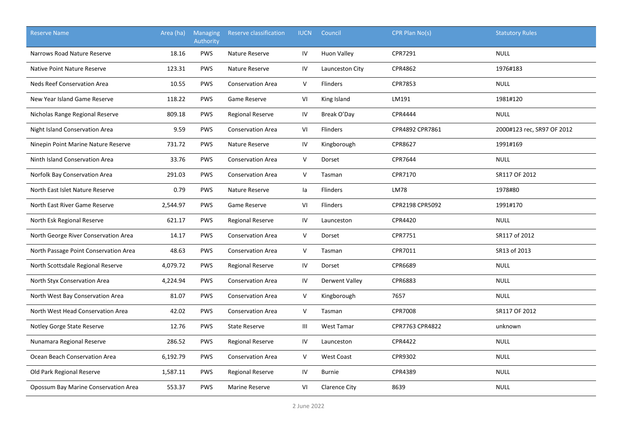| <b>Reserve Name</b>                   | Area (ha) | <b>Managing</b><br>Authority | <b>Reserve classification</b> | <b>IUCN</b>  | Council               | CPR Plan No(s)  | <b>Statutory Rules</b>     |
|---------------------------------------|-----------|------------------------------|-------------------------------|--------------|-----------------------|-----------------|----------------------------|
| Narrows Road Nature Reserve           | 18.16     | <b>PWS</b>                   | Nature Reserve                | IV           | <b>Huon Valley</b>    | CPR7291         | <b>NULL</b>                |
| Native Point Nature Reserve           | 123.31    | PWS                          | Nature Reserve                | IV           | Launceston City       | CPR4862         | 1976#183                   |
| Neds Reef Conservation Area           | 10.55     | <b>PWS</b>                   | <b>Conservation Area</b>      | V            | Flinders              | CPR7853         | <b>NULL</b>                |
| New Year Island Game Reserve          | 118.22    | <b>PWS</b>                   | Game Reserve                  | VI           | King Island           | LM191           | 1981#120                   |
| Nicholas Range Regional Reserve       | 809.18    | <b>PWS</b>                   | <b>Regional Reserve</b>       | IV           | Break O'Day           | CPR4444         | <b>NULL</b>                |
| Night Island Conservation Area        | 9.59      | <b>PWS</b>                   | <b>Conservation Area</b>      | VI           | <b>Flinders</b>       | CPR4892 CPR7861 | 2000#123 rec, SR97 OF 2012 |
| Ninepin Point Marine Nature Reserve   | 731.72    | <b>PWS</b>                   | Nature Reserve                | IV           | Kingborough           | CPR8627         | 1991#169                   |
| Ninth Island Conservation Area        | 33.76     | <b>PWS</b>                   | <b>Conservation Area</b>      | V            | Dorset                | CPR7644         | <b>NULL</b>                |
| Norfolk Bay Conservation Area         | 291.03    | <b>PWS</b>                   | <b>Conservation Area</b>      | $\mathsf{V}$ | Tasman                | CPR7170         | SR117 OF 2012              |
| North East Islet Nature Reserve       | 0.79      | <b>PWS</b>                   | Nature Reserve                | la           | Flinders              | <b>LM78</b>     | 1978#80                    |
| North East River Game Reserve         | 2,544.97  | <b>PWS</b>                   | Game Reserve                  | VI           | <b>Flinders</b>       | CPR2198 CPR5092 | 1991#170                   |
| North Esk Regional Reserve            | 621.17    | <b>PWS</b>                   | <b>Regional Reserve</b>       | IV           | Launceston            | CPR4420         | <b>NULL</b>                |
| North George River Conservation Area  | 14.17     | <b>PWS</b>                   | <b>Conservation Area</b>      | V            | Dorset                | CPR7751         | SR117 of 2012              |
| North Passage Point Conservation Area | 48.63     | <b>PWS</b>                   | <b>Conservation Area</b>      | V            | Tasman                | CPR7011         | SR13 of 2013               |
| North Scottsdale Regional Reserve     | 4,079.72  | <b>PWS</b>                   | <b>Regional Reserve</b>       | ${\sf IV}$   | Dorset                | CPR6689         | <b>NULL</b>                |
| North Styx Conservation Area          | 4,224.94  | <b>PWS</b>                   | <b>Conservation Area</b>      | IV           | <b>Derwent Valley</b> | CPR6883         | <b>NULL</b>                |
| North West Bay Conservation Area      | 81.07     | <b>PWS</b>                   | <b>Conservation Area</b>      | V            | Kingborough           | 7657            | <b>NULL</b>                |
| North West Head Conservation Area     | 42.02     | <b>PWS</b>                   | <b>Conservation Area</b>      | V            | Tasman                | <b>CPR7008</b>  | SR117 OF 2012              |
| Notley Gorge State Reserve            | 12.76     | <b>PWS</b>                   | <b>State Reserve</b>          | Ш            | <b>West Tamar</b>     | CPR7763 CPR4822 | unknown                    |
| Nunamara Regional Reserve             | 286.52    | <b>PWS</b>                   | <b>Regional Reserve</b>       | IV           | Launceston            | CPR4422         | <b>NULL</b>                |
| Ocean Beach Conservation Area         | 6,192.79  | <b>PWS</b>                   | <b>Conservation Area</b>      | V            | <b>West Coast</b>     | CPR9302         | <b>NULL</b>                |
| Old Park Regional Reserve             | 1,587.11  | <b>PWS</b>                   | <b>Regional Reserve</b>       | IV           | <b>Burnie</b>         | CPR4389         | <b>NULL</b>                |
| Opossum Bay Marine Conservation Area  | 553.37    | <b>PWS</b>                   | <b>Marine Reserve</b>         | VI           | <b>Clarence City</b>  | 8639            | <b>NULL</b>                |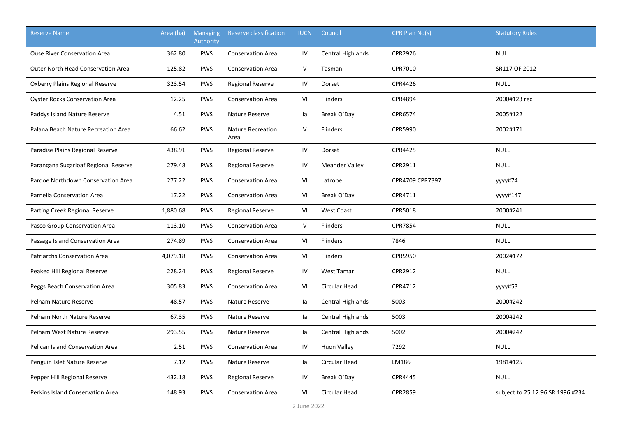| <b>Reserve Name</b>                       | Area (ha) | <b>Managing</b><br>Authority | Reserve classification           | <b>IUCN</b> | Council                  | CPR Plan No(s)  | <b>Statutory Rules</b>           |
|-------------------------------------------|-----------|------------------------------|----------------------------------|-------------|--------------------------|-----------------|----------------------------------|
| <b>Ouse River Conservation Area</b>       | 362.80    | <b>PWS</b>                   | <b>Conservation Area</b>         | IV          | <b>Central Highlands</b> | CPR2926         | <b>NULL</b>                      |
| <b>Outer North Head Conservation Area</b> | 125.82    | <b>PWS</b>                   | <b>Conservation Area</b>         | V           | Tasman                   | CPR7010         | SR117 OF 2012                    |
| Oxberry Plains Regional Reserve           | 323.54    | <b>PWS</b>                   | <b>Regional Reserve</b>          | IV          | Dorset                   | CPR4426         | <b>NULL</b>                      |
| <b>Oyster Rocks Conservation Area</b>     | 12.25     | PWS                          | <b>Conservation Area</b>         | VI          | <b>Flinders</b>          | CPR4894         | 2000#123 rec                     |
| Paddys Island Nature Reserve              | 4.51      | PWS                          | Nature Reserve                   | la          | Break O'Day              | CPR6574         | 2005#122                         |
| Palana Beach Nature Recreation Area       | 66.62     | PWS                          | <b>Nature Recreation</b><br>Area | $\mathsf V$ | Flinders                 | CPR5990         | 2002#171                         |
| Paradise Plains Regional Reserve          | 438.91    | PWS                          | <b>Regional Reserve</b>          | IV          | Dorset                   | CPR4425         | <b>NULL</b>                      |
| Parangana Sugarloaf Regional Reserve      | 279.48    | PWS                          | <b>Regional Reserve</b>          | IV          | <b>Meander Valley</b>    | CPR2911         | <b>NULL</b>                      |
| Pardoe Northdown Conservation Area        | 277.22    | PWS                          | <b>Conservation Area</b>         | VI          | Latrobe                  | CPR4709 CPR7397 | уууу#74                          |
| Parnella Conservation Area                | 17.22     | <b>PWS</b>                   | <b>Conservation Area</b>         | VI          | Break O'Day              | CPR4711         | уууу#147                         |
| Parting Creek Regional Reserve            | 1,880.68  | PWS                          | <b>Regional Reserve</b>          | VI          | <b>West Coast</b>        | CPR5018         | 2000#241                         |
| Pasco Group Conservation Area             | 113.10    | <b>PWS</b>                   | <b>Conservation Area</b>         | V           | <b>Flinders</b>          | <b>CPR7854</b>  | <b>NULL</b>                      |
| Passage Island Conservation Area          | 274.89    | <b>PWS</b>                   | <b>Conservation Area</b>         | VI          | <b>Flinders</b>          | 7846            | <b>NULL</b>                      |
| <b>Patriarchs Conservation Area</b>       | 4,079.18  | <b>PWS</b>                   | <b>Conservation Area</b>         | VI          | <b>Flinders</b>          | <b>CPR5950</b>  | 2002#172                         |
| Peaked Hill Regional Reserve              | 228.24    | <b>PWS</b>                   | <b>Regional Reserve</b>          | IV          | <b>West Tamar</b>        | CPR2912         | <b>NULL</b>                      |
| Peggs Beach Conservation Area             | 305.83    | <b>PWS</b>                   | <b>Conservation Area</b>         | VI          | <b>Circular Head</b>     | CPR4712         | уууу#53                          |
| Pelham Nature Reserve                     | 48.57     | <b>PWS</b>                   | Nature Reserve                   | la          | Central Highlands        | 5003            | 2000#242                         |
| Pelham North Nature Reserve               | 67.35     | <b>PWS</b>                   | Nature Reserve                   | la          | Central Highlands        | 5003            | 2000#242                         |
| Pelham West Nature Reserve                | 293.55    | <b>PWS</b>                   | Nature Reserve                   | la          | Central Highlands        | 5002            | 2000#242                         |
| Pelican Island Conservation Area          | 2.51      | <b>PWS</b>                   | <b>Conservation Area</b>         | IV          | <b>Huon Valley</b>       | 7292            | <b>NULL</b>                      |
| Penguin Islet Nature Reserve              | 7.12      | PWS                          | Nature Reserve                   | la          | Circular Head            | LM186           | 1981#125                         |
| Pepper Hill Regional Reserve              | 432.18    | <b>PWS</b>                   | <b>Regional Reserve</b>          | IV          | Break O'Day              | CPR4445         | <b>NULL</b>                      |
| Perkins Island Conservation Area          | 148.93    | <b>PWS</b>                   | <b>Conservation Area</b>         | VI          | Circular Head            | <b>CPR2859</b>  | subject to 25.12.96 SR 1996 #234 |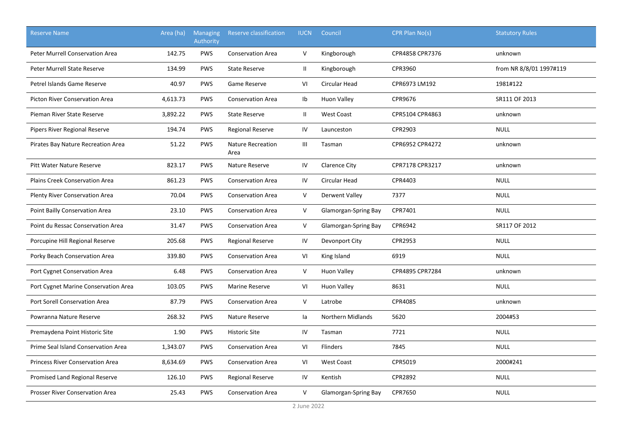| <b>Reserve Name</b>                     | Area (ha) | <b>Managing</b><br>Authority | Reserve classification           | <b>IUCN</b>   | Council              | CPR Plan No(s)  | <b>Statutory Rules</b>  |
|-----------------------------------------|-----------|------------------------------|----------------------------------|---------------|----------------------|-----------------|-------------------------|
| <b>Peter Murrell Conservation Area</b>  | 142.75    | <b>PWS</b>                   | <b>Conservation Area</b>         | $\vee$        | Kingborough          | CPR4858 CPR7376 | unknown                 |
| Peter Murrell State Reserve             | 134.99    | <b>PWS</b>                   | <b>State Reserve</b>             | $\mathbf{II}$ | Kingborough          | CPR3960         | from NR 8/8/01 1997#119 |
| Petrel Islands Game Reserve             | 40.97     | <b>PWS</b>                   | Game Reserve                     | VI            | <b>Circular Head</b> | CPR6973 LM192   | 1981#122                |
| <b>Picton River Conservation Area</b>   | 4,613.73  | <b>PWS</b>                   | <b>Conservation Area</b>         | Ib            | <b>Huon Valley</b>   | CPR9676         | SR111 OF 2013           |
| Pieman River State Reserve              | 3,892.22  | <b>PWS</b>                   | <b>State Reserve</b>             | $\mathbf{II}$ | <b>West Coast</b>    | CPR5104 CPR4863 | unknown                 |
| Pipers River Regional Reserve           | 194.74    | PWS                          | Regional Reserve                 | ${\sf IV}$    | Launceston           | CPR2903         | <b>NULL</b>             |
| Pirates Bay Nature Recreation Area      | 51.22     | <b>PWS</b>                   | <b>Nature Recreation</b><br>Area | Ш             | Tasman               | CPR6952 CPR4272 | unknown                 |
| <b>Pitt Water Nature Reserve</b>        | 823.17    | <b>PWS</b>                   | Nature Reserve                   | IV            | <b>Clarence City</b> | CPR7178 CPR3217 | unknown                 |
| <b>Plains Creek Conservation Area</b>   | 861.23    | <b>PWS</b>                   | <b>Conservation Area</b>         | IV            | Circular Head        | CPR4403         | <b>NULL</b>             |
| <b>Plenty River Conservation Area</b>   | 70.04     | <b>PWS</b>                   | <b>Conservation Area</b>         | V             | Derwent Valley       | 7377            | <b>NULL</b>             |
| Point Bailly Conservation Area          | 23.10     | <b>PWS</b>                   | <b>Conservation Area</b>         | V             | Glamorgan-Spring Bay | CPR7401         | <b>NULL</b>             |
| Point du Ressac Conservation Area       | 31.47     | <b>PWS</b>                   | <b>Conservation Area</b>         | V             | Glamorgan-Spring Bay | CPR6942         | SR117 OF 2012           |
| Porcupine Hill Regional Reserve         | 205.68    | PWS                          | <b>Regional Reserve</b>          | IV            | Devonport City       | CPR2953         | <b>NULL</b>             |
| Porky Beach Conservation Area           | 339.80    | <b>PWS</b>                   | <b>Conservation Area</b>         | VI            | King Island          | 6919            | <b>NULL</b>             |
| Port Cygnet Conservation Area           | 6.48      | <b>PWS</b>                   | <b>Conservation Area</b>         | V             | <b>Huon Valley</b>   | CPR4895 CPR7284 | unknown                 |
| Port Cygnet Marine Conservation Area    | 103.05    | <b>PWS</b>                   | <b>Marine Reserve</b>            | VI            | <b>Huon Valley</b>   | 8631            | <b>NULL</b>             |
| Port Sorell Conservation Area           | 87.79     | <b>PWS</b>                   | <b>Conservation Area</b>         | $\vee$        | Latrobe              | CPR4085         | unknown                 |
| Powranna Nature Reserve                 | 268.32    | <b>PWS</b>                   | Nature Reserve                   | la            | Northern Midlands    | 5620            | 2004#53                 |
| Premaydena Point Historic Site          | 1.90      | PWS                          | <b>Historic Site</b>             | IV            | Tasman               | 7721            | <b>NULL</b>             |
| Prime Seal Island Conservation Area     | 1,343.07  | <b>PWS</b>                   | <b>Conservation Area</b>         | VI            | Flinders             | 7845            | <b>NULL</b>             |
| <b>Princess River Conservation Area</b> | 8,634.69  | <b>PWS</b>                   | <b>Conservation Area</b>         | VI            | <b>West Coast</b>    | CPR5019         | 2000#241                |
| Promised Land Regional Reserve          | 126.10    | <b>PWS</b>                   | <b>Regional Reserve</b>          | IV            | Kentish              | CPR2892         | <b>NULL</b>             |
| Prosser River Conservation Area         | 25.43     | <b>PWS</b>                   | <b>Conservation Area</b>         | V             | Glamorgan-Spring Bay | CPR7650         | <b>NULL</b>             |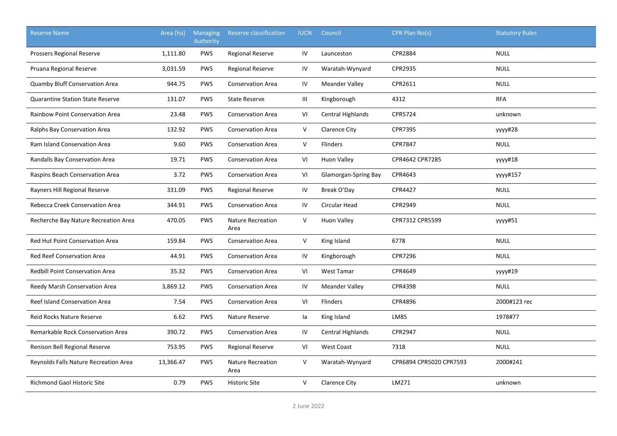| <b>Reserve Name</b>                     | Area (ha) | <b>Managing</b><br>Authority | Reserve classification           | <b>IUCN</b>  | Council                  | CPR Plan No(s)          | <b>Statutory Rules</b> |
|-----------------------------------------|-----------|------------------------------|----------------------------------|--------------|--------------------------|-------------------------|------------------------|
| Prossers Regional Reserve               | 1,111.80  | <b>PWS</b>                   | <b>Regional Reserve</b>          | IV           | Launceston               | <b>CPR2884</b>          | <b>NULL</b>            |
| Pruana Regional Reserve                 | 3,031.59  | <b>PWS</b>                   | <b>Regional Reserve</b>          | IV           | Waratah-Wynyard          | CPR2935                 | <b>NULL</b>            |
| Quamby Bluff Conservation Area          | 944.75    | <b>PWS</b>                   | <b>Conservation Area</b>         | IV           | <b>Meander Valley</b>    | CPR2611                 | <b>NULL</b>            |
| <b>Quarantine Station State Reserve</b> | 131.07    | <b>PWS</b>                   | <b>State Reserve</b>             | Ш            | Kingborough              | 4312                    | <b>RFA</b>             |
| Rainbow Point Conservation Area         | 23.48     | <b>PWS</b>                   | <b>Conservation Area</b>         | VI           | <b>Central Highlands</b> | CPR5724                 | unknown                |
| Ralphs Bay Conservation Area            | 132.92    | <b>PWS</b>                   | <b>Conservation Area</b>         | $\mathsf{V}$ | <b>Clarence City</b>     | <b>CPR7395</b>          | уууу#28                |
| <b>Ram Island Conservation Area</b>     | 9.60      | <b>PWS</b>                   | <b>Conservation Area</b>         | $\mathsf{V}$ | Flinders                 | CPR7847                 | <b>NULL</b>            |
| Randalls Bay Conservation Area          | 19.71     | <b>PWS</b>                   | <b>Conservation Area</b>         | VI           | Huon Valley              | CPR4642 CPR7285         | yyyy#18                |
| Raspins Beach Conservation Area         | 3.72      | <b>PWS</b>                   | <b>Conservation Area</b>         | VI           | Glamorgan-Spring Bay     | CPR4643                 | уууу#157               |
| Rayners Hill Regional Reserve           | 331.09    | <b>PWS</b>                   | <b>Regional Reserve</b>          | IV           | Break O'Day              | CPR4427                 | <b>NULL</b>            |
| Rebecca Creek Conservation Area         | 344.91    | <b>PWS</b>                   | <b>Conservation Area</b>         | IV           | Circular Head            | CPR2949                 | <b>NULL</b>            |
| Recherche Bay Nature Recreation Area    | 470.05    | <b>PWS</b>                   | <b>Nature Recreation</b><br>Area | $\mathsf{V}$ | <b>Huon Valley</b>       | CPR7312 CPR5599         | yyyy#51                |
| Red Hut Point Conservation Area         | 159.84    | <b>PWS</b>                   | <b>Conservation Area</b>         | V            | King Island              | 6778                    | <b>NULL</b>            |
| <b>Red Reef Conservation Area</b>       | 44.91     | <b>PWS</b>                   | <b>Conservation Area</b>         | IV           | Kingborough              | <b>CPR7296</b>          | <b>NULL</b>            |
| <b>Redbill Point Conservation Area</b>  | 35.32     | <b>PWS</b>                   | <b>Conservation Area</b>         | VI           | <b>West Tamar</b>        | CPR4649                 | уууу#19                |
| Reedy Marsh Conservation Area           | 3,869.12  | <b>PWS</b>                   | <b>Conservation Area</b>         | IV           | <b>Meander Valley</b>    | CPR4398                 | <b>NULL</b>            |
| Reef Island Conservation Area           | 7.54      | <b>PWS</b>                   | <b>Conservation Area</b>         | VI           | Flinders                 | CPR4896                 | 2000#123 rec           |
| Reid Rocks Nature Reserve               | 6.62      | PWS                          | Nature Reserve                   | la           | King Island              | LM85                    | 1978#77                |
| Remarkable Rock Conservation Area       | 390.72    | <b>PWS</b>                   | <b>Conservation Area</b>         | IV           | Central Highlands        | CPR2947                 | <b>NULL</b>            |
| Renison Bell Regional Reserve           | 753.95    | <b>PWS</b>                   | <b>Regional Reserve</b>          | VI           | West Coast               | 7318                    | <b>NULL</b>            |
| Reynolds Falls Nature Recreation Area   | 13,366.47 | <b>PWS</b>                   | <b>Nature Recreation</b><br>Area | $\mathsf{V}$ | Waratah-Wynyard          | CPR6894 CPR5020 CPR7593 | 2000#241               |
| <b>Richmond Gaol Historic Site</b>      | 0.79      | <b>PWS</b>                   | <b>Historic Site</b>             | $\vee$       | <b>Clarence City</b>     | LM271                   | unknown                |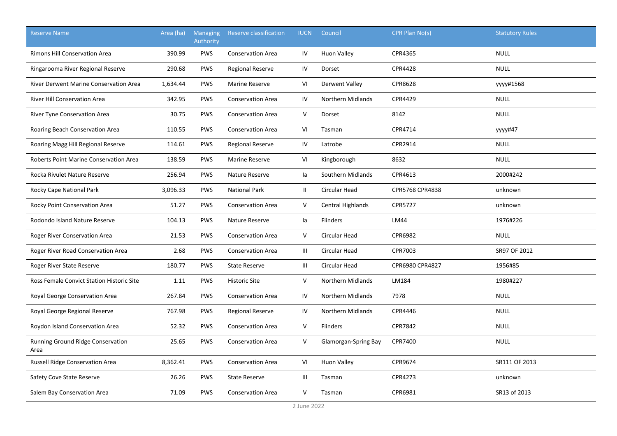| <b>Reserve Name</b>                           | Area (ha) | <b>Managing</b><br>Authority | Reserve classification   | <b>IUCN</b>   | Council                     | CPR Plan No(s)  | <b>Statutory Rules</b> |
|-----------------------------------------------|-----------|------------------------------|--------------------------|---------------|-----------------------------|-----------------|------------------------|
| <b>Rimons Hill Conservation Area</b>          | 390.99    | <b>PWS</b>                   | <b>Conservation Area</b> | IV            | <b>Huon Valley</b>          | CPR4365         | <b>NULL</b>            |
| Ringarooma River Regional Reserve             | 290.68    | <b>PWS</b>                   | <b>Regional Reserve</b>  | IV            | Dorset                      | <b>CPR4428</b>  | <b>NULL</b>            |
| <b>River Derwent Marine Conservation Area</b> | 1,634.44  | <b>PWS</b>                   | <b>Marine Reserve</b>    | VI            | Derwent Valley              | CPR8628         | уууу#1568              |
| <b>River Hill Conservation Area</b>           | 342.95    | PWS                          | <b>Conservation Area</b> | IV            | <b>Northern Midlands</b>    | CPR4429         | <b>NULL</b>            |
| River Tyne Conservation Area                  | 30.75     | PWS                          | <b>Conservation Area</b> | V             | Dorset                      | 8142            | <b>NULL</b>            |
| Roaring Beach Conservation Area               | 110.55    | PWS                          | <b>Conservation Area</b> | VI            | Tasman                      | CPR4714         | yyyy#47                |
| Roaring Magg Hill Regional Reserve            | 114.61    | PWS                          | <b>Regional Reserve</b>  | IV            | Latrobe                     | CPR2914         | <b>NULL</b>            |
| Roberts Point Marine Conservation Area        | 138.59    | <b>PWS</b>                   | <b>Marine Reserve</b>    | VI            | Kingborough                 | 8632            | <b>NULL</b>            |
| Rocka Rivulet Nature Reserve                  | 256.94    | <b>PWS</b>                   | Nature Reserve           | la            | Southern Midlands           | CPR4613         | 2000#242               |
| Rocky Cape National Park                      | 3,096.33  | <b>PWS</b>                   | <b>National Park</b>     | $\mathbf{II}$ | Circular Head               | CPR5768 CPR4838 | unknown                |
| Rocky Point Conservation Area                 | 51.27     | <b>PWS</b>                   | <b>Conservation Area</b> | V             | <b>Central Highlands</b>    | CPR5727         | unknown                |
| Rodondo Island Nature Reserve                 | 104.13    | <b>PWS</b>                   | Nature Reserve           | la            | <b>Flinders</b>             | <b>LM44</b>     | 1976#226               |
| Roger River Conservation Area                 | 21.53     | PWS                          | <b>Conservation Area</b> | V             | Circular Head               | CPR6982         | <b>NULL</b>            |
| Roger River Road Conservation Area            | 2.68      | PWS                          | <b>Conservation Area</b> | Ш             | Circular Head               | CPR7003         | SR97 OF 2012           |
| Roger River State Reserve                     | 180.77    | PWS                          | <b>State Reserve</b>     | Ш             | Circular Head               | CPR6980 CPR4827 | 1956#85                |
| Ross Female Convict Station Historic Site     | 1.11      | PWS                          | <b>Historic Site</b>     | V             | Northern Midlands           | LM184           | 1980#227               |
| Royal George Conservation Area                | 267.84    | <b>PWS</b>                   | <b>Conservation Area</b> | IV            | Northern Midlands           | 7978            | <b>NULL</b>            |
| Royal George Regional Reserve                 | 767.98    | <b>PWS</b>                   | <b>Regional Reserve</b>  | IV            | <b>Northern Midlands</b>    | CPR4446         | <b>NULL</b>            |
| Roydon Island Conservation Area               | 52.32     | <b>PWS</b>                   | <b>Conservation Area</b> | V             | <b>Flinders</b>             | CPR7842         | <b>NULL</b>            |
| Running Ground Ridge Conservation<br>Area     | 25.65     | <b>PWS</b>                   | <b>Conservation Area</b> | V             | <b>Glamorgan-Spring Bay</b> | CPR7400         | <b>NULL</b>            |
| Russell Ridge Conservation Area               | 8,362.41  | PWS                          | <b>Conservation Area</b> | VI            | <b>Huon Valley</b>          | CPR9674         | SR111 OF 2013          |
| Safety Cove State Reserve                     | 26.26     | <b>PWS</b>                   | <b>State Reserve</b>     | Ш             | Tasman                      | CPR4273         | unknown                |
| Salem Bay Conservation Area                   | 71.09     | <b>PWS</b>                   | <b>Conservation Area</b> | V             | Tasman                      | CPR6981         | SR13 of 2013           |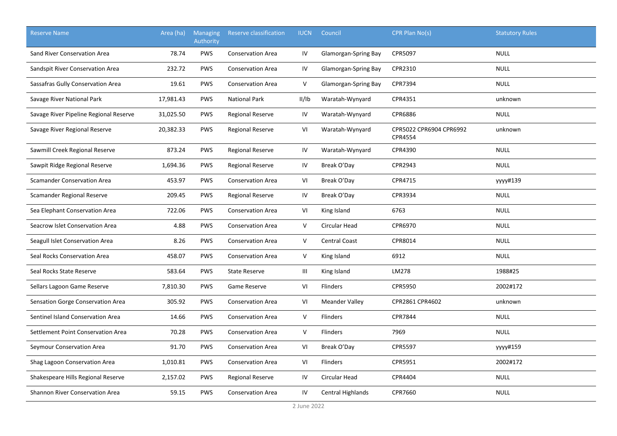| <b>Reserve Name</b>                    | Area (ha) | <b>Managing</b><br>Authority | <b>Reserve classification</b> | <b>IUCN</b>                        | Council               | CPR Plan No(s)                     | <b>Statutory Rules</b> |
|----------------------------------------|-----------|------------------------------|-------------------------------|------------------------------------|-----------------------|------------------------------------|------------------------|
| Sand River Conservation Area           | 78.74     | <b>PWS</b>                   | <b>Conservation Area</b>      | IV                                 | Glamorgan-Spring Bay  | CPR5097                            | <b>NULL</b>            |
| Sandspit River Conservation Area       | 232.72    | <b>PWS</b>                   | <b>Conservation Area</b>      | IV                                 | Glamorgan-Spring Bay  | CPR2310                            | <b>NULL</b>            |
| Sassafras Gully Conservation Area      | 19.61     | <b>PWS</b>                   | <b>Conservation Area</b>      | V                                  | Glamorgan-Spring Bay  | CPR7394                            | <b>NULL</b>            |
| Savage River National Park             | 17,981.43 | <b>PWS</b>                   | <b>National Park</b>          | II/IB                              | Waratah-Wynyard       | CPR4351                            | unknown                |
| Savage River Pipeline Regional Reserve | 31,025.50 | <b>PWS</b>                   | Regional Reserve              | ${\sf IV}$                         | Waratah-Wynyard       | CPR6886                            | <b>NULL</b>            |
| Savage River Regional Reserve          | 20,382.33 | <b>PWS</b>                   | <b>Regional Reserve</b>       | VI                                 | Waratah-Wynyard       | CPR5022 CPR6904 CPR6992<br>CPR4554 | unknown                |
| Sawmill Creek Regional Reserve         | 873.24    | <b>PWS</b>                   | <b>Regional Reserve</b>       | IV                                 | Waratah-Wynyard       | CPR4390                            | <b>NULL</b>            |
| Sawpit Ridge Regional Reserve          | 1,694.36  | <b>PWS</b>                   | <b>Regional Reserve</b>       | IV                                 | Break O'Day           | CPR2943                            | <b>NULL</b>            |
| <b>Scamander Conservation Area</b>     | 453.97    | <b>PWS</b>                   | <b>Conservation Area</b>      | VI                                 | Break O'Day           | CPR4715                            | уууу#139               |
| Scamander Regional Reserve             | 209.45    | <b>PWS</b>                   | <b>Regional Reserve</b>       | IV                                 | Break O'Day           | CPR3934                            | <b>NULL</b>            |
| Sea Elephant Conservation Area         | 722.06    | <b>PWS</b>                   | <b>Conservation Area</b>      | VI                                 | King Island           | 6763                               | <b>NULL</b>            |
| Seacrow Islet Conservation Area        | 4.88      | <b>PWS</b>                   | <b>Conservation Area</b>      | V                                  | <b>Circular Head</b>  | CPR6970                            | <b>NULL</b>            |
| Seagull Islet Conservation Area        | 8.26      | PWS                          | <b>Conservation Area</b>      | V                                  | <b>Central Coast</b>  | CPR8014                            | <b>NULL</b>            |
| Seal Rocks Conservation Area           | 458.07    | <b>PWS</b>                   | <b>Conservation Area</b>      | V                                  | King Island           | 6912                               | <b>NULL</b>            |
| Seal Rocks State Reserve               | 583.64    | PWS                          | <b>State Reserve</b>          | $\ensuremath{\mathsf{III}}\xspace$ | King Island           | LM278                              | 1988#25                |
| Sellars Lagoon Game Reserve            | 7,810.30  | <b>PWS</b>                   | Game Reserve                  | VI                                 | Flinders              | CPR5950                            | 2002#172               |
| Sensation Gorge Conservation Area      | 305.92    | PWS                          | <b>Conservation Area</b>      | VI                                 | <b>Meander Valley</b> | CPR2861 CPR4602                    | unknown                |
| Sentinel Island Conservation Area      | 14.66     | PWS                          | <b>Conservation Area</b>      | V                                  | Flinders              | CPR7844                            | <b>NULL</b>            |
| Settlement Point Conservation Area     | 70.28     | PWS                          | <b>Conservation Area</b>      | V                                  | Flinders              | 7969                               | <b>NULL</b>            |
| Seymour Conservation Area              | 91.70     | <b>PWS</b>                   | <b>Conservation Area</b>      | VI                                 | Break O'Day           | CPR5597                            | yyyy#159               |
| Shag Lagoon Conservation Area          | 1,010.81  | <b>PWS</b>                   | <b>Conservation Area</b>      | VI                                 | Flinders              | CPR5951                            | 2002#172               |
| Shakespeare Hills Regional Reserve     | 2,157.02  | <b>PWS</b>                   | Regional Reserve              | IV                                 | Circular Head         | CPR4404                            | <b>NULL</b>            |
| Shannon River Conservation Area        | 59.15     | <b>PWS</b>                   | <b>Conservation Area</b>      | IV                                 | Central Highlands     | CPR7660                            | <b>NULL</b>            |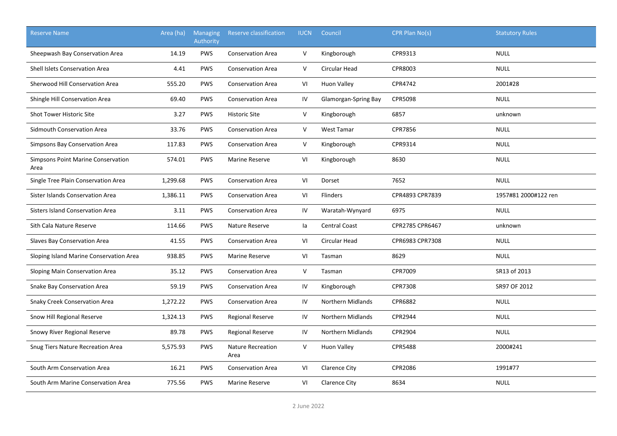| <b>Reserve Name</b>                        | Area (ha) | <b>Managing</b><br>Authority | Reserve classification           | <b>IUCN</b>  | Council                  | CPR Plan No(s)  | <b>Statutory Rules</b> |
|--------------------------------------------|-----------|------------------------------|----------------------------------|--------------|--------------------------|-----------------|------------------------|
| Sheepwash Bay Conservation Area            | 14.19     | <b>PWS</b>                   | <b>Conservation Area</b>         | $\mathsf{V}$ | Kingborough              | CPR9313         | <b>NULL</b>            |
| Shell Islets Conservation Area             | 4.41      | <b>PWS</b>                   | <b>Conservation Area</b>         | V            | Circular Head            | CPR8003         | <b>NULL</b>            |
| Sherwood Hill Conservation Area            | 555.20    | <b>PWS</b>                   | <b>Conservation Area</b>         | VI           | Huon Valley              | CPR4742         | 2001#28                |
| Shingle Hill Conservation Area             | 69.40     | <b>PWS</b>                   | <b>Conservation Area</b>         | IV           | Glamorgan-Spring Bay     | CPR5098         | <b>NULL</b>            |
| Shot Tower Historic Site                   | 3.27      | <b>PWS</b>                   | <b>Historic Site</b>             | V            | Kingborough              | 6857            | unknown                |
| Sidmouth Conservation Area                 | 33.76     | <b>PWS</b>                   | <b>Conservation Area</b>         | V            | <b>West Tamar</b>        | CPR7856         | <b>NULL</b>            |
| Simpsons Bay Conservation Area             | 117.83    | <b>PWS</b>                   | <b>Conservation Area</b>         | $\mathsf{V}$ | Kingborough              | CPR9314         | <b>NULL</b>            |
| Simpsons Point Marine Conservation<br>Area | 574.01    | <b>PWS</b>                   | Marine Reserve                   | VI           | Kingborough              | 8630            | <b>NULL</b>            |
| Single Tree Plain Conservation Area        | 1,299.68  | <b>PWS</b>                   | <b>Conservation Area</b>         | VI           | Dorset                   | 7652            | <b>NULL</b>            |
| Sister Islands Conservation Area           | 1,386.11  | <b>PWS</b>                   | <b>Conservation Area</b>         | VI           | <b>Flinders</b>          | CPR4893 CPR7839 | 1957#81 2000#122 ren   |
| <b>Sisters Island Conservation Area</b>    | 3.11      | <b>PWS</b>                   | <b>Conservation Area</b>         | IV           | Waratah-Wynyard          | 6975            | <b>NULL</b>            |
| Sith Cala Nature Reserve                   | 114.66    | <b>PWS</b>                   | Nature Reserve                   | la           | <b>Central Coast</b>     | CPR2785 CPR6467 | unknown                |
| Slaves Bay Conservation Area               | 41.55     | <b>PWS</b>                   | <b>Conservation Area</b>         | VI           | Circular Head            | CPR6983 CPR7308 | <b>NULL</b>            |
| Sloping Island Marine Conservation Area    | 938.85    | <b>PWS</b>                   | Marine Reserve                   | VI           | Tasman                   | 8629            | <b>NULL</b>            |
| Sloping Main Conservation Area             | 35.12     | <b>PWS</b>                   | <b>Conservation Area</b>         | V            | Tasman                   | CPR7009         | SR13 of 2013           |
| Snake Bay Conservation Area                | 59.19     | <b>PWS</b>                   | <b>Conservation Area</b>         | IV           | Kingborough              | CPR7308         | SR97 OF 2012           |
| <b>Snaky Creek Conservation Area</b>       | 1,272.22  | <b>PWS</b>                   | <b>Conservation Area</b>         | IV           | <b>Northern Midlands</b> | CPR6882         | <b>NULL</b>            |
| Snow Hill Regional Reserve                 | 1,324.13  | <b>PWS</b>                   | <b>Regional Reserve</b>          | IV           | <b>Northern Midlands</b> | CPR2944         | <b>NULL</b>            |
| Snowy River Regional Reserve               | 89.78     | <b>PWS</b>                   | <b>Regional Reserve</b>          | IV           | Northern Midlands        | CPR2904         | <b>NULL</b>            |
| Snug Tiers Nature Recreation Area          | 5,575.93  | <b>PWS</b>                   | <b>Nature Recreation</b><br>Area | V            | <b>Huon Valley</b>       | <b>CPR5488</b>  | 2000#241               |
| South Arm Conservation Area                | 16.21     | <b>PWS</b>                   | <b>Conservation Area</b>         | VI           | Clarence City            | CPR2086         | 1991#77                |
| South Arm Marine Conservation Area         | 775.56    | <b>PWS</b>                   | <b>Marine Reserve</b>            | VI           | <b>Clarence City</b>     | 8634            | <b>NULL</b>            |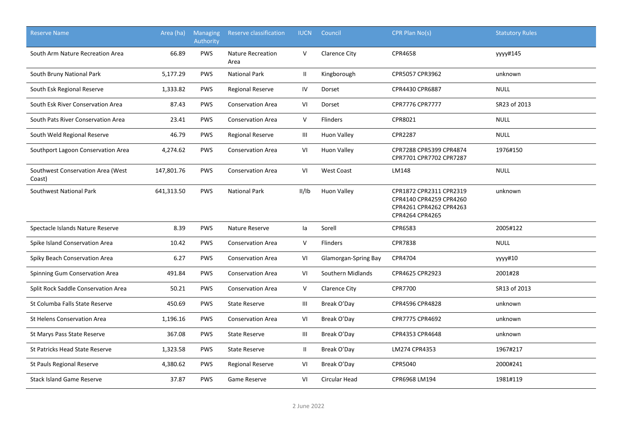| <b>Reserve Name</b>                         | Area (ha)  | Managing<br><b>Authority</b> | Reserve classification           | <b>IUCN</b>   | Council              | CPR Plan No(s)                                                                                   | <b>Statutory Rules</b> |
|---------------------------------------------|------------|------------------------------|----------------------------------|---------------|----------------------|--------------------------------------------------------------------------------------------------|------------------------|
| South Arm Nature Recreation Area            | 66.89      | <b>PWS</b>                   | <b>Nature Recreation</b><br>Area | $\vee$        | <b>Clarence City</b> | CPR4658                                                                                          | yyyy#145               |
| South Bruny National Park                   | 5,177.29   | <b>PWS</b>                   | <b>National Park</b>             | $\mathbf{II}$ | Kingborough          | CPR5057 CPR3962                                                                                  | unknown                |
| South Esk Regional Reserve                  | 1,333.82   | <b>PWS</b>                   | <b>Regional Reserve</b>          | IV            | Dorset               | CPR4430 CPR6887                                                                                  | <b>NULL</b>            |
| South Esk River Conservation Area           | 87.43      | <b>PWS</b>                   | <b>Conservation Area</b>         | VI            | Dorset               | <b>CPR7776 CPR7777</b>                                                                           | SR23 of 2013           |
| South Pats River Conservation Area          | 23.41      | <b>PWS</b>                   | <b>Conservation Area</b>         | $\vee$        | Flinders             | CPR8021                                                                                          | <b>NULL</b>            |
| South Weld Regional Reserve                 | 46.79      | <b>PWS</b>                   | <b>Regional Reserve</b>          | Ш             | <b>Huon Valley</b>   | <b>CPR2287</b>                                                                                   | <b>NULL</b>            |
| Southport Lagoon Conservation Area          | 4,274.62   | <b>PWS</b>                   | <b>Conservation Area</b>         | VI            | <b>Huon Valley</b>   | CPR7288 CPR5399 CPR4874<br>CPR7701 CPR7702 CPR7287                                               | 1976#150               |
| Southwest Conservation Area (West<br>Coast) | 147,801.76 | PWS                          | <b>Conservation Area</b>         | VI            | <b>West Coast</b>    | LM148                                                                                            | <b>NULL</b>            |
| Southwest National Park                     | 641,313.50 | <b>PWS</b>                   | <b>National Park</b>             | II/IB         | Huon Valley          | CPR1872 CPR2311 CPR2319<br>CPR4140 CPR4259 CPR4260<br>CPR4261 CPR4262 CPR4263<br>CPR4264 CPR4265 | unknown                |
| Spectacle Islands Nature Reserve            | 8.39       | <b>PWS</b>                   | Nature Reserve                   | la            | Sorell               | CPR6583                                                                                          | 2005#122               |
| Spike Island Conservation Area              | 10.42      | <b>PWS</b>                   | <b>Conservation Area</b>         | $\vee$        | <b>Flinders</b>      | <b>CPR7838</b>                                                                                   | <b>NULL</b>            |
| Spiky Beach Conservation Area               | 6.27       | <b>PWS</b>                   | <b>Conservation Area</b>         | VI            | Glamorgan-Spring Bay | CPR4704                                                                                          | уууу#10                |
| Spinning Gum Conservation Area              | 491.84     | <b>PWS</b>                   | <b>Conservation Area</b>         | VI            | Southern Midlands    | CPR4625 CPR2923                                                                                  | 2001#28                |
| Split Rock Saddle Conservation Area         | 50.21      | <b>PWS</b>                   | <b>Conservation Area</b>         | $\vee$        | <b>Clarence City</b> | <b>CPR7700</b>                                                                                   | SR13 of 2013           |
| St Columba Falls State Reserve              | 450.69     | <b>PWS</b>                   | <b>State Reserve</b>             | Ш             | Break O'Day          | CPR4596 CPR4828                                                                                  | unknown                |
| St Helens Conservation Area                 | 1,196.16   | <b>PWS</b>                   | <b>Conservation Area</b>         | VI            | Break O'Day          | CPR7775 CPR4692                                                                                  | unknown                |
| St Marys Pass State Reserve                 | 367.08     | <b>PWS</b>                   | <b>State Reserve</b>             | Ш             | Break O'Day          | CPR4353 CPR4648                                                                                  | unknown                |
| St Patricks Head State Reserve              | 1,323.58   | <b>PWS</b>                   | <b>State Reserve</b>             | $\mathbf{II}$ | Break O'Day          | LM274 CPR4353                                                                                    | 1967#217               |
| St Pauls Regional Reserve                   | 4,380.62   | <b>PWS</b>                   | <b>Regional Reserve</b>          | VI            | Break O'Day          | CPR5040                                                                                          | 2000#241               |
| <b>Stack Island Game Reserve</b>            | 37.87      | <b>PWS</b>                   | Game Reserve                     | VI            | Circular Head        | CPR6968 LM194                                                                                    | 1981#119               |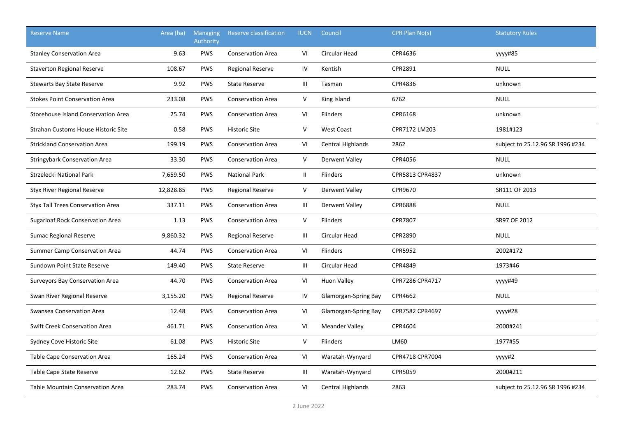| <b>Reserve Name</b>                      | Area (ha) | <b>Managing</b><br>Authority | <b>Reserve classification</b> | <b>IUCN</b>  | Council                  | CPR Plan No(s)  | <b>Statutory Rules</b>           |
|------------------------------------------|-----------|------------------------------|-------------------------------|--------------|--------------------------|-----------------|----------------------------------|
| <b>Stanley Conservation Area</b>         | 9.63      | <b>PWS</b>                   | <b>Conservation Area</b>      | VI           | Circular Head            | CPR4636         | yyyy#85                          |
| <b>Staverton Regional Reserve</b>        | 108.67    | <b>PWS</b>                   | <b>Regional Reserve</b>       | IV           | Kentish                  | CPR2891         | <b>NULL</b>                      |
| <b>Stewarts Bay State Reserve</b>        | 9.92      | <b>PWS</b>                   | <b>State Reserve</b>          | Ш            | Tasman                   | CPR4836         | unknown                          |
| <b>Stokes Point Conservation Area</b>    | 233.08    | <b>PWS</b>                   | <b>Conservation Area</b>      | V            | King Island              | 6762            | <b>NULL</b>                      |
| Storehouse Island Conservation Area      | 25.74     | <b>PWS</b>                   | <b>Conservation Area</b>      | VI           | Flinders                 | CPR6168         | unknown                          |
| Strahan Customs House Historic Site      | 0.58      | <b>PWS</b>                   | <b>Historic Site</b>          | V            | <b>West Coast</b>        | CPR7172 LM203   | 1981#123                         |
| <b>Strickland Conservation Area</b>      | 199.19    | <b>PWS</b>                   | <b>Conservation Area</b>      | VI           | <b>Central Highlands</b> | 2862            | subject to 25.12.96 SR 1996 #234 |
| <b>Stringybark Conservation Area</b>     | 33.30     | <b>PWS</b>                   | <b>Conservation Area</b>      | V            | Derwent Valley           | CPR4056         | <b>NULL</b>                      |
| Strzelecki National Park                 | 7,659.50  | <b>PWS</b>                   | <b>National Park</b>          | $\mathbf{H}$ | Flinders                 | CPR5813 CPR4837 | unknown                          |
| <b>Styx River Regional Reserve</b>       | 12,828.85 | <b>PWS</b>                   | <b>Regional Reserve</b>       | $\mathsf{V}$ | Derwent Valley           | CPR9670         | SR111 OF 2013                    |
| <b>Styx Tall Trees Conservation Area</b> | 337.11    | <b>PWS</b>                   | <b>Conservation Area</b>      | Ш            | Derwent Valley           | <b>CPR6888</b>  | <b>NULL</b>                      |
| Sugarloaf Rock Conservation Area         | 1.13      | <b>PWS</b>                   | <b>Conservation Area</b>      | V            | Flinders                 | <b>CPR7807</b>  | SR97 OF 2012                     |
| Sumac Regional Reserve                   | 9,860.32  | <b>PWS</b>                   | <b>Regional Reserve</b>       | Ш            | Circular Head            | CPR2890         | <b>NULL</b>                      |
| Summer Camp Conservation Area            | 44.74     | <b>PWS</b>                   | <b>Conservation Area</b>      | VI           | <b>Flinders</b>          | CPR5952         | 2002#172                         |
| Sundown Point State Reserve              | 149.40    | <b>PWS</b>                   | <b>State Reserve</b>          | Ш            | Circular Head            | CPR4849         | 1973#46                          |
| Surveyors Bay Conservation Area          | 44.70     | <b>PWS</b>                   | <b>Conservation Area</b>      | VI           | <b>Huon Valley</b>       | CPR7286 CPR4717 | уууу#49                          |
| Swan River Regional Reserve              | 3,155.20  | <b>PWS</b>                   | <b>Regional Reserve</b>       | IV           | Glamorgan-Spring Bay     | CPR4662         | <b>NULL</b>                      |
| Swansea Conservation Area                | 12.48     | <b>PWS</b>                   | <b>Conservation Area</b>      | VI           | Glamorgan-Spring Bay     | CPR7582 CPR4697 | yyyy#28                          |
| Swift Creek Conservation Area            | 461.71    | <b>PWS</b>                   | <b>Conservation Area</b>      | VI           | <b>Meander Valley</b>    | CPR4604         | 2000#241                         |
| Sydney Cove Historic Site                | 61.08     | <b>PWS</b>                   | <b>Historic Site</b>          | V            | Flinders                 | LM60            | 1977#55                          |
| Table Cape Conservation Area             | 165.24    | <b>PWS</b>                   | <b>Conservation Area</b>      | VI           | Waratah-Wynyard          | CPR4718 CPR7004 | уууу#2                           |
| Table Cape State Reserve                 | 12.62     | <b>PWS</b>                   | <b>State Reserve</b>          | Ш            | Waratah-Wynyard          | CPR5059         | 2000#211                         |
| <b>Table Mountain Conservation Area</b>  | 283.74    | <b>PWS</b>                   | <b>Conservation Area</b>      | VI           | Central Highlands        | 2863            | subject to 25.12.96 SR 1996 #234 |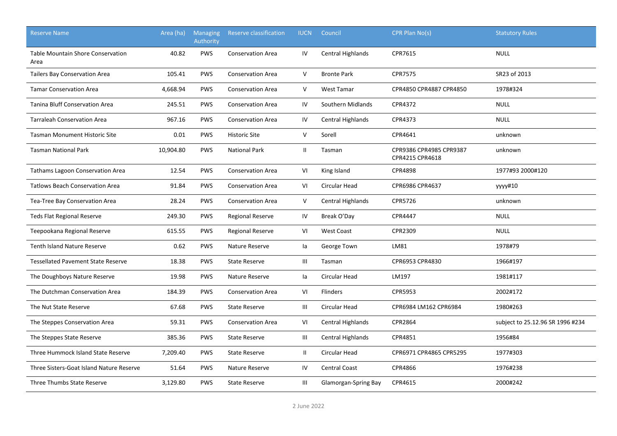| <b>Reserve Name</b>                              | Area (ha) | <b>Managing</b><br>Authority | Reserve classification   | <b>IUCN</b>    | Council                  | CPR Plan No(s)                             | <b>Statutory Rules</b>           |
|--------------------------------------------------|-----------|------------------------------|--------------------------|----------------|--------------------------|--------------------------------------------|----------------------------------|
| <b>Table Mountain Shore Conservation</b><br>Area | 40.82     | <b>PWS</b>                   | <b>Conservation Area</b> | IV             | <b>Central Highlands</b> | CPR7615                                    | <b>NULL</b>                      |
| <b>Tailers Bay Conservation Area</b>             | 105.41    | <b>PWS</b>                   | <b>Conservation Area</b> | V              | <b>Bronte Park</b>       | <b>CPR7575</b>                             | SR23 of 2013                     |
| <b>Tamar Conservation Area</b>                   | 4,668.94  | <b>PWS</b>                   | <b>Conservation Area</b> | $\vee$         | <b>West Tamar</b>        | CPR4850 CPR4887 CPR4850                    | 1978#324                         |
| <b>Tanina Bluff Conservation Area</b>            | 245.51    | <b>PWS</b>                   | <b>Conservation Area</b> | IV             | Southern Midlands        | CPR4372                                    | <b>NULL</b>                      |
| <b>Tarraleah Conservation Area</b>               | 967.16    | <b>PWS</b>                   | <b>Conservation Area</b> | IV             | Central Highlands        | CPR4373                                    | <b>NULL</b>                      |
| <b>Tasman Monument Historic Site</b>             | 0.01      | <b>PWS</b>                   | <b>Historic Site</b>     | $\mathsf{V}$   | Sorell                   | CPR4641                                    | unknown                          |
| <b>Tasman National Park</b>                      | 10,904.80 | <b>PWS</b>                   | <b>National Park</b>     | $\mathbf{II}$  | Tasman                   | CPR9386 CPR4985 CPR9387<br>CPR4215 CPR4618 | unknown                          |
| Tathams Lagoon Conservation Area                 | 12.54     | <b>PWS</b>                   | <b>Conservation Area</b> | VI             | King Island              | <b>CPR4898</b>                             | 1977#93 2000#120                 |
| <b>Tatlows Beach Conservation Area</b>           | 91.84     | <b>PWS</b>                   | <b>Conservation Area</b> | VI             | Circular Head            | CPR6986 CPR4637                            | уууу#10                          |
| Tea-Tree Bay Conservation Area                   | 28.24     | <b>PWS</b>                   | <b>Conservation Area</b> | V              | Central Highlands        | CPR5726                                    | unknown                          |
| <b>Teds Flat Regional Reserve</b>                | 249.30    | <b>PWS</b>                   | <b>Regional Reserve</b>  | IV             | Break O'Day              | CPR4447                                    | <b>NULL</b>                      |
| Teepookana Regional Reserve                      | 615.55    | <b>PWS</b>                   | <b>Regional Reserve</b>  | VI             | West Coast               | CPR2309                                    | <b>NULL</b>                      |
| <b>Tenth Island Nature Reserve</b>               | 0.62      | <b>PWS</b>                   | Nature Reserve           | la             | George Town              | LM81                                       | 1978#79                          |
| <b>Tessellated Pavement State Reserve</b>        | 18.38     | <b>PWS</b>                   | <b>State Reserve</b>     | $\mathbf{III}$ | Tasman                   | CPR6953 CPR4830                            | 1966#197                         |
| The Doughboys Nature Reserve                     | 19.98     | <b>PWS</b>                   | Nature Reserve           | la             | Circular Head            | LM197                                      | 1981#117                         |
| The Dutchman Conservation Area                   | 184.39    | <b>PWS</b>                   | <b>Conservation Area</b> | VI             | Flinders                 | CPR5953                                    | 2002#172                         |
| The Nut State Reserve                            | 67.68     | <b>PWS</b>                   | <b>State Reserve</b>     | Ш              | <b>Circular Head</b>     | CPR6984 LM162 CPR6984                      | 1980#263                         |
| The Steppes Conservation Area                    | 59.31     | <b>PWS</b>                   | <b>Conservation Area</b> | VI             | Central Highlands        | CPR2864                                    | subject to 25.12.96 SR 1996 #234 |
| The Steppes State Reserve                        | 385.36    | <b>PWS</b>                   | <b>State Reserve</b>     | Ш              | <b>Central Highlands</b> | CPR4851                                    | 1956#84                          |
| Three Hummock Island State Reserve               | 7,209.40  | <b>PWS</b>                   | <b>State Reserve</b>     | $\mathbf{H}$   | Circular Head            | CPR6971 CPR4865 CPR5295                    | 1977#303                         |
| Three Sisters-Goat Island Nature Reserve         | 51.64     | <b>PWS</b>                   | Nature Reserve           | IV             | <b>Central Coast</b>     | CPR4866                                    | 1976#238                         |
| Three Thumbs State Reserve                       | 3,129.80  | <b>PWS</b>                   | <b>State Reserve</b>     | $\mathbf{III}$ | Glamorgan-Spring Bay     | CPR4615                                    | 2000#242                         |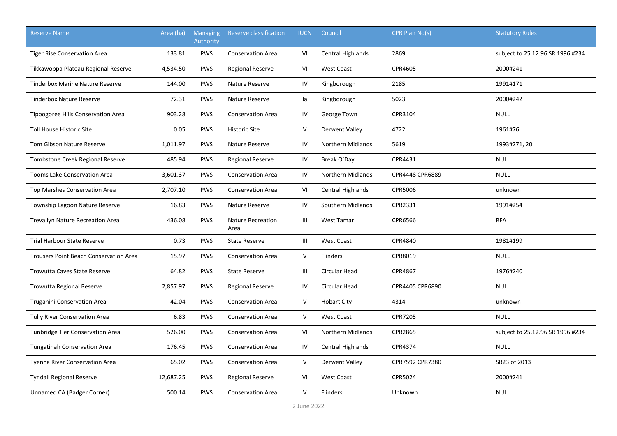| <b>Reserve Name</b>                           | Area (ha) | <b>Managing</b><br>Authority | Reserve classification           | <b>IUCN</b> | Council                  | CPR Plan No(s)  | <b>Statutory Rules</b>           |
|-----------------------------------------------|-----------|------------------------------|----------------------------------|-------------|--------------------------|-----------------|----------------------------------|
| <b>Tiger Rise Conservation Area</b>           | 133.81    | <b>PWS</b>                   | <b>Conservation Area</b>         | VI          | Central Highlands        | 2869            | subject to 25.12.96 SR 1996 #234 |
| Tikkawoppa Plateau Regional Reserve           | 4,534.50  | <b>PWS</b>                   | <b>Regional Reserve</b>          | VI          | <b>West Coast</b>        | CPR4605         | 2000#241                         |
| <b>Tinderbox Marine Nature Reserve</b>        | 144.00    | <b>PWS</b>                   | Nature Reserve                   | IV          | Kingborough              | 2185            | 1991#171                         |
| <b>Tinderbox Nature Reserve</b>               | 72.31     | <b>PWS</b>                   | Nature Reserve                   | la          | Kingborough              | 5023            | 2000#242                         |
| Tippogoree Hills Conservation Area            | 903.28    | <b>PWS</b>                   | <b>Conservation Area</b>         | IV          | George Town              | CPR3104         | <b>NULL</b>                      |
| <b>Toll House Historic Site</b>               | 0.05      | <b>PWS</b>                   | <b>Historic Site</b>             | V           | Derwent Valley           | 4722            | 1961#76                          |
| <b>Tom Gibson Nature Reserve</b>              | 1,011.97  | <b>PWS</b>                   | Nature Reserve                   | IV          | <b>Northern Midlands</b> | 5619            | 1993#271, 20                     |
| Tombstone Creek Regional Reserve              | 485.94    | <b>PWS</b>                   | <b>Regional Reserve</b>          | ${\sf IV}$  | Break O'Day              | CPR4431         | <b>NULL</b>                      |
| <b>Tooms Lake Conservation Area</b>           | 3,601.37  | <b>PWS</b>                   | <b>Conservation Area</b>         | IV          | Northern Midlands        | CPR4448 CPR6889 | <b>NULL</b>                      |
| <b>Top Marshes Conservation Area</b>          | 2,707.10  | <b>PWS</b>                   | <b>Conservation Area</b>         | VI          | Central Highlands        | <b>CPR5006</b>  | unknown                          |
| Township Lagoon Nature Reserve                | 16.83     | <b>PWS</b>                   | Nature Reserve                   | IV          | Southern Midlands        | CPR2331         | 1991#254                         |
| Trevallyn Nature Recreation Area              | 436.08    | <b>PWS</b>                   | <b>Nature Recreation</b><br>Area | Ш           | West Tamar               | CPR6566         | <b>RFA</b>                       |
| <b>Trial Harbour State Reserve</b>            | 0.73      | <b>PWS</b>                   | <b>State Reserve</b>             | Ш           | <b>West Coast</b>        | CPR4840         | 1981#199                         |
| <b>Trousers Point Beach Conservation Area</b> | 15.97     | <b>PWS</b>                   | <b>Conservation Area</b>         | V           | <b>Flinders</b>          | CPR8019         | <b>NULL</b>                      |
| <b>Trowutta Caves State Reserve</b>           | 64.82     | <b>PWS</b>                   | <b>State Reserve</b>             | Ш           | Circular Head            | CPR4867         | 1976#240                         |
| <b>Trowutta Regional Reserve</b>              | 2,857.97  | <b>PWS</b>                   | <b>Regional Reserve</b>          | IV          | Circular Head            | CPR4405 CPR6890 | <b>NULL</b>                      |
| <b>Truganini Conservation Area</b>            | 42.04     | <b>PWS</b>                   | <b>Conservation Area</b>         | V           | <b>Hobart City</b>       | 4314            | unknown                          |
| <b>Tully River Conservation Area</b>          | 6.83      | <b>PWS</b>                   | <b>Conservation Area</b>         | V           | <b>West Coast</b>        | CPR7205         | <b>NULL</b>                      |
| <b>Tunbridge Tier Conservation Area</b>       | 526.00    | <b>PWS</b>                   | <b>Conservation Area</b>         | VI          | Northern Midlands        | <b>CPR2865</b>  | subject to 25.12.96 SR 1996 #234 |
| <b>Tungatinah Conservation Area</b>           | 176.45    | <b>PWS</b>                   | <b>Conservation Area</b>         | IV          | Central Highlands        | CPR4374         | <b>NULL</b>                      |
| <b>Tyenna River Conservation Area</b>         | 65.02     | <b>PWS</b>                   | <b>Conservation Area</b>         | V           | Derwent Valley           | CPR7592 CPR7380 | SR23 of 2013                     |
| <b>Tyndall Regional Reserve</b>               | 12,687.25 | <b>PWS</b>                   | <b>Regional Reserve</b>          | VI          | <b>West Coast</b>        | CPR5024         | 2000#241                         |
| Unnamed CA (Badger Corner)                    | 500.14    | <b>PWS</b>                   | <b>Conservation Area</b>         | V           | <b>Flinders</b>          | Unknown         | <b>NULL</b>                      |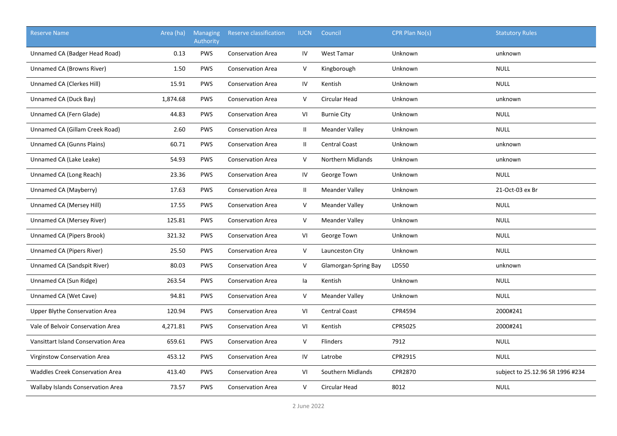| <b>Reserve Name</b>                      | Area (ha) | <b>Managing</b><br>Authority | Reserve classification   | <b>IUCN</b>  | Council               | CPR Plan No(s) | <b>Statutory Rules</b>           |
|------------------------------------------|-----------|------------------------------|--------------------------|--------------|-----------------------|----------------|----------------------------------|
| Unnamed CA (Badger Head Road)            | 0.13      | <b>PWS</b>                   | <b>Conservation Area</b> | IV           | <b>West Tamar</b>     | Unknown        | unknown                          |
| Unnamed CA (Browns River)                | 1.50      | PWS                          | <b>Conservation Area</b> | V            | Kingborough           | <b>Unknown</b> | <b>NULL</b>                      |
| Unnamed CA (Clerkes Hill)                | 15.91     | <b>PWS</b>                   | <b>Conservation Area</b> | IV           | Kentish               | Unknown        | <b>NULL</b>                      |
| Unnamed CA (Duck Bay)                    | 1,874.68  | <b>PWS</b>                   | <b>Conservation Area</b> | $\mathsf{V}$ | Circular Head         | Unknown        | unknown                          |
| Unnamed CA (Fern Glade)                  | 44.83     | <b>PWS</b>                   | <b>Conservation Area</b> | VI           | <b>Burnie City</b>    | Unknown        | <b>NULL</b>                      |
| Unnamed CA (Gillam Creek Road)           | 2.60      | <b>PWS</b>                   | <b>Conservation Area</b> | $\mathbf{H}$ | <b>Meander Valley</b> | Unknown        | <b>NULL</b>                      |
| <b>Unnamed CA (Gunns Plains)</b>         | 60.71     | <b>PWS</b>                   | <b>Conservation Area</b> | $\mathbf{H}$ | <b>Central Coast</b>  | Unknown        | unknown                          |
| Unnamed CA (Lake Leake)                  | 54.93     | PWS                          | <b>Conservation Area</b> | $\vee$       | Northern Midlands     | Unknown        | unknown                          |
| Unnamed CA (Long Reach)                  | 23.36     | <b>PWS</b>                   | <b>Conservation Area</b> | IV           | George Town           | Unknown        | <b>NULL</b>                      |
| Unnamed CA (Mayberry)                    | 17.63     | <b>PWS</b>                   | <b>Conservation Area</b> | $\mathbf{H}$ | <b>Meander Valley</b> | Unknown        | 21-Oct-03 ex Br                  |
| Unnamed CA (Mersey Hill)                 | 17.55     | <b>PWS</b>                   | <b>Conservation Area</b> | $\vee$       | <b>Meander Valley</b> | Unknown        | <b>NULL</b>                      |
| Unnamed CA (Mersey River)                | 125.81    | <b>PWS</b>                   | <b>Conservation Area</b> | $\vee$       | <b>Meander Valley</b> | Unknown        | <b>NULL</b>                      |
| <b>Unnamed CA (Pipers Brook)</b>         | 321.32    | <b>PWS</b>                   | <b>Conservation Area</b> | VI           | George Town           | <b>Unknown</b> | <b>NULL</b>                      |
| Unnamed CA (Pipers River)                | 25.50     | <b>PWS</b>                   | <b>Conservation Area</b> | $\mathsf V$  | Launceston City       | Unknown        | <b>NULL</b>                      |
| Unnamed CA (Sandspit River)              | 80.03     | <b>PWS</b>                   | <b>Conservation Area</b> | V            | Glamorgan-Spring Bay  | LD550          | unknown                          |
| Unnamed CA (Sun Ridge)                   | 263.54    | <b>PWS</b>                   | <b>Conservation Area</b> | la           | Kentish               | Unknown        | <b>NULL</b>                      |
| Unnamed CA (Wet Cave)                    | 94.81     | <b>PWS</b>                   | <b>Conservation Area</b> | $\vee$       | <b>Meander Valley</b> | Unknown        | <b>NULL</b>                      |
| Upper Blythe Conservation Area           | 120.94    | <b>PWS</b>                   | <b>Conservation Area</b> | VI           | <b>Central Coast</b>  | CPR4594        | 2000#241                         |
| Vale of Belvoir Conservation Area        | 4,271.81  | <b>PWS</b>                   | <b>Conservation Area</b> | VI           | Kentish               | CPR5025        | 2000#241                         |
| Vansittart Island Conservation Area      | 659.61    | PWS                          | <b>Conservation Area</b> | V            | Flinders              | 7912           | <b>NULL</b>                      |
| Virginstow Conservation Area             | 453.12    | <b>PWS</b>                   | <b>Conservation Area</b> | IV           | Latrobe               | CPR2915        | <b>NULL</b>                      |
| <b>Waddles Creek Conservation Area</b>   | 413.40    | <b>PWS</b>                   | <b>Conservation Area</b> | VI           | Southern Midlands     | CPR2870        | subject to 25.12.96 SR 1996 #234 |
| <b>Wallaby Islands Conservation Area</b> | 73.57     | <b>PWS</b>                   | <b>Conservation Area</b> | $\vee$       | Circular Head         | 8012           | <b>NULL</b>                      |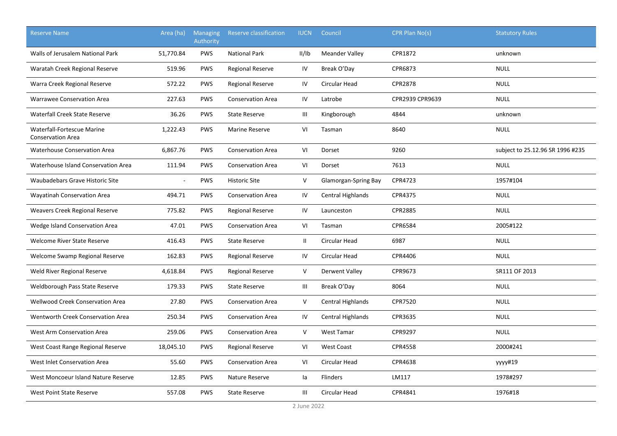| <b>Reserve Name</b>                                    | Area (ha) | <b>Managing</b><br>Authority | Reserve classification   | <b>IUCN</b>    | Council               | CPR Plan No(s)  | <b>Statutory Rules</b>           |
|--------------------------------------------------------|-----------|------------------------------|--------------------------|----------------|-----------------------|-----------------|----------------------------------|
| Walls of Jerusalem National Park                       | 51,770.84 | <b>PWS</b>                   | <b>National Park</b>     | II/IB          | <b>Meander Valley</b> | CPR1872         | unknown                          |
| Waratah Creek Regional Reserve                         | 519.96    | <b>PWS</b>                   | <b>Regional Reserve</b>  | IV             | Break O'Day           | CPR6873         | <b>NULL</b>                      |
| Warra Creek Regional Reserve                           | 572.22    | <b>PWS</b>                   | <b>Regional Reserve</b>  | IV             | <b>Circular Head</b>  | <b>CPR2878</b>  | <b>NULL</b>                      |
| Warrawee Conservation Area                             | 227.63    | PWS                          | <b>Conservation Area</b> | IV             | Latrobe               | CPR2939 CPR9639 | <b>NULL</b>                      |
| Waterfall Creek State Reserve                          | 36.26     | PWS                          | <b>State Reserve</b>     | Ш              | Kingborough           | 4844            | unknown                          |
| Waterfall-Fortescue Marine<br><b>Conservation Area</b> | 1,222.43  | <b>PWS</b>                   | <b>Marine Reserve</b>    | VI             | Tasman                | 8640            | <b>NULL</b>                      |
| <b>Waterhouse Conservation Area</b>                    | 6,867.76  | <b>PWS</b>                   | <b>Conservation Area</b> | VI             | Dorset                | 9260            | subject to 25.12.96 SR 1996 #235 |
| Waterhouse Island Conservation Area                    | 111.94    | <b>PWS</b>                   | <b>Conservation Area</b> | VI             | Dorset                | 7613            | <b>NULL</b>                      |
| Waubadebars Grave Historic Site                        |           | PWS                          | <b>Historic Site</b>     | $\mathsf{V}$   | Glamorgan-Spring Bay  | CPR4723         | 1957#104                         |
| Wayatinah Conservation Area                            | 494.71    | <b>PWS</b>                   | <b>Conservation Area</b> | IV             | Central Highlands     | CPR4375         | <b>NULL</b>                      |
| Weavers Creek Regional Reserve                         | 775.82    | PWS                          | <b>Regional Reserve</b>  | IV             | Launceston            | CPR2885         | <b>NULL</b>                      |
| Wedge Island Conservation Area                         | 47.01     | <b>PWS</b>                   | <b>Conservation Area</b> | VI             | Tasman                | <b>CPR6584</b>  | 2005#122                         |
| Welcome River State Reserve                            | 416.43    | <b>PWS</b>                   | <b>State Reserve</b>     | $\mathbf{II}$  | Circular Head         | 6987            | <b>NULL</b>                      |
| Welcome Swamp Regional Reserve                         | 162.83    | <b>PWS</b>                   | <b>Regional Reserve</b>  | IV             | <b>Circular Head</b>  | CPR4406         | <b>NULL</b>                      |
| Weld River Regional Reserve                            | 4,618.84  | <b>PWS</b>                   | <b>Regional Reserve</b>  | V              | <b>Derwent Valley</b> | CPR9673         | SR111 OF 2013                    |
| Weldborough Pass State Reserve                         | 179.33    | <b>PWS</b>                   | <b>State Reserve</b>     | Ш              | Break O'Day           | 8064            | <b>NULL</b>                      |
| <b>Wellwood Creek Conservation Area</b>                | 27.80     | <b>PWS</b>                   | <b>Conservation Area</b> | V              | Central Highlands     | <b>CPR7520</b>  | <b>NULL</b>                      |
| Wentworth Creek Conservation Area                      | 250.34    | <b>PWS</b>                   | <b>Conservation Area</b> | IV             | Central Highlands     | CPR3635         | <b>NULL</b>                      |
| West Arm Conservation Area                             | 259.06    | <b>PWS</b>                   | <b>Conservation Area</b> | $\vee$         | <b>West Tamar</b>     | CPR9297         | <b>NULL</b>                      |
| West Coast Range Regional Reserve                      | 18,045.10 | <b>PWS</b>                   | <b>Regional Reserve</b>  | VI             | <b>West Coast</b>     | <b>CPR4558</b>  | 2000#241                         |
| West Inlet Conservation Area                           | 55.60     | <b>PWS</b>                   | <b>Conservation Area</b> | VI             | Circular Head         | CPR4638         | yyyy#19                          |
| West Moncoeur Island Nature Reserve                    | 12.85     | <b>PWS</b>                   | Nature Reserve           | la             | Flinders              | LM117           | 1978#297                         |
| West Point State Reserve                               | 557.08    | <b>PWS</b>                   | <b>State Reserve</b>     | $\mathbf{III}$ | Circular Head         | CPR4841         | 1976#18                          |